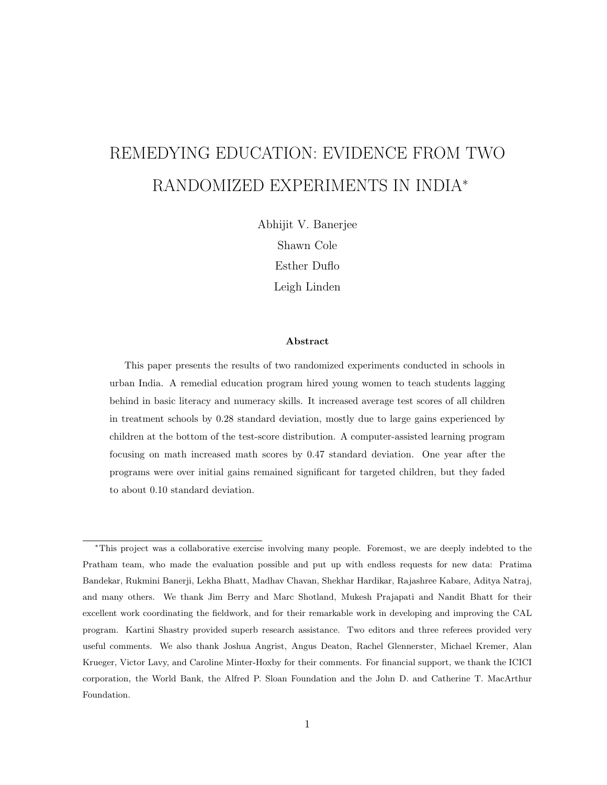# REMEDYING EDUCATION: EVIDENCE FROM TWO RANDOMIZED EXPERIMENTS IN INDIA<sup>∗</sup>

Abhijit V. Banerjee

Shawn Cole Esther Duflo Leigh Linden

#### Abstract

This paper presents the results of two randomized experiments conducted in schools in urban India. A remedial education program hired young women to teach students lagging behind in basic literacy and numeracy skills. It increased average test scores of all children in treatment schools by 0.28 standard deviation, mostly due to large gains experienced by children at the bottom of the test-score distribution. A computer-assisted learning program focusing on math increased math scores by 0.47 standard deviation. One year after the programs were over initial gains remained significant for targeted children, but they faded to about 0.10 standard deviation.

<sup>∗</sup>This project was a collaborative exercise involving many people. Foremost, we are deeply indebted to the Pratham team, who made the evaluation possible and put up with endless requests for new data: Pratima Bandekar, Rukmini Banerji, Lekha Bhatt, Madhav Chavan, Shekhar Hardikar, Rajashree Kabare, Aditya Natraj, and many others. We thank Jim Berry and Marc Shotland, Mukesh Prajapati and Nandit Bhatt for their excellent work coordinating the fieldwork, and for their remarkable work in developing and improving the CAL program. Kartini Shastry provided superb research assistance. Two editors and three referees provided very useful comments. We also thank Joshua Angrist, Angus Deaton, Rachel Glennerster, Michael Kremer, Alan Krueger, Victor Lavy, and Caroline Minter-Hoxby for their comments. For financial support, we thank the ICICI corporation, the World Bank, the Alfred P. Sloan Foundation and the John D. and Catherine T. MacArthur Foundation.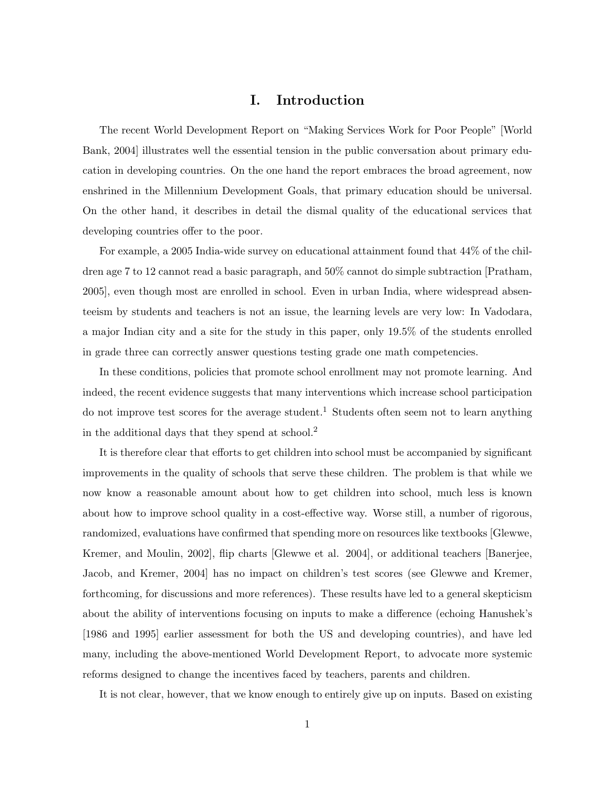# I. Introduction

The recent World Development Report on "Making Services Work for Poor People" [World Bank, 2004] illustrates well the essential tension in the public conversation about primary education in developing countries. On the one hand the report embraces the broad agreement, now enshrined in the Millennium Development Goals, that primary education should be universal. On the other hand, it describes in detail the dismal quality of the educational services that developing countries offer to the poor.

For example, a 2005 India-wide survey on educational attainment found that 44% of the children age 7 to 12 cannot read a basic paragraph, and 50% cannot do simple subtraction [Pratham, 2005], even though most are enrolled in school. Even in urban India, where widespread absenteeism by students and teachers is not an issue, the learning levels are very low: In Vadodara, a major Indian city and a site for the study in this paper, only 19.5% of the students enrolled in grade three can correctly answer questions testing grade one math competencies.

In these conditions, policies that promote school enrollment may not promote learning. And indeed, the recent evidence suggests that many interventions which increase school participation do not improve test scores for the average student.<sup>1</sup> Students often seem not to learn anything in the additional days that they spend at school.<sup>2</sup>

It is therefore clear that efforts to get children into school must be accompanied by significant improvements in the quality of schools that serve these children. The problem is that while we now know a reasonable amount about how to get children into school, much less is known about how to improve school quality in a cost-effective way. Worse still, a number of rigorous, randomized, evaluations have confirmed that spending more on resources like textbooks [Glewwe, Kremer, and Moulin, 2002], flip charts [Glewwe et al. 2004], or additional teachers [Banerjee, Jacob, and Kremer, 2004] has no impact on children's test scores (see Glewwe and Kremer, forthcoming, for discussions and more references). These results have led to a general skepticism about the ability of interventions focusing on inputs to make a difference (echoing Hanushek's [1986 and 1995] earlier assessment for both the US and developing countries), and have led many, including the above-mentioned World Development Report, to advocate more systemic reforms designed to change the incentives faced by teachers, parents and children.

It is not clear, however, that we know enough to entirely give up on inputs. Based on existing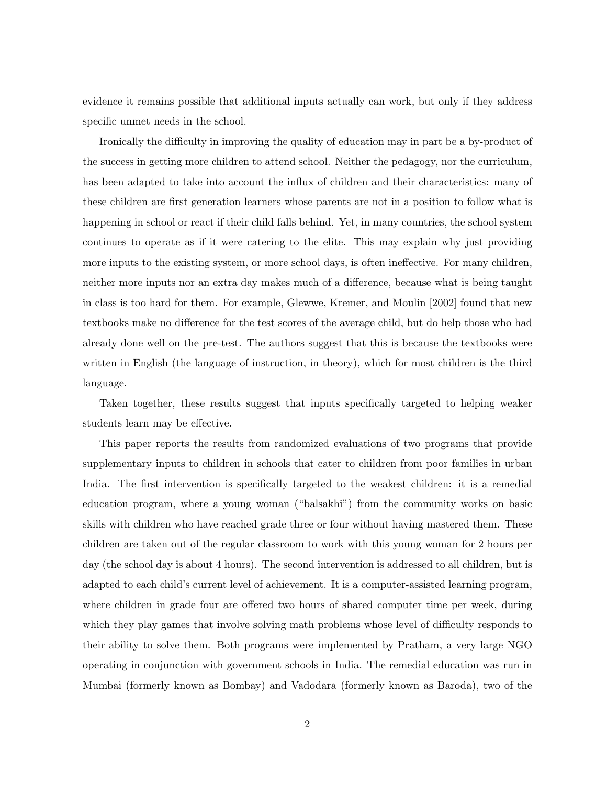evidence it remains possible that additional inputs actually can work, but only if they address specific unmet needs in the school.

Ironically the difficulty in improving the quality of education may in part be a by-product of the success in getting more children to attend school. Neither the pedagogy, nor the curriculum, has been adapted to take into account the influx of children and their characteristics: many of these children are first generation learners whose parents are not in a position to follow what is happening in school or react if their child falls behind. Yet, in many countries, the school system continues to operate as if it were catering to the elite. This may explain why just providing more inputs to the existing system, or more school days, is often ineffective. For many children, neither more inputs nor an extra day makes much of a difference, because what is being taught in class is too hard for them. For example, Glewwe, Kremer, and Moulin [2002] found that new textbooks make no difference for the test scores of the average child, but do help those who had already done well on the pre-test. The authors suggest that this is because the textbooks were written in English (the language of instruction, in theory), which for most children is the third language.

Taken together, these results suggest that inputs specifically targeted to helping weaker students learn may be effective.

This paper reports the results from randomized evaluations of two programs that provide supplementary inputs to children in schools that cater to children from poor families in urban India. The first intervention is specifically targeted to the weakest children: it is a remedial education program, where a young woman ("balsakhi") from the community works on basic skills with children who have reached grade three or four without having mastered them. These children are taken out of the regular classroom to work with this young woman for 2 hours per day (the school day is about 4 hours). The second intervention is addressed to all children, but is adapted to each child's current level of achievement. It is a computer-assisted learning program, where children in grade four are offered two hours of shared computer time per week, during which they play games that involve solving math problems whose level of difficulty responds to their ability to solve them. Both programs were implemented by Pratham, a very large NGO operating in conjunction with government schools in India. The remedial education was run in Mumbai (formerly known as Bombay) and Vadodara (formerly known as Baroda), two of the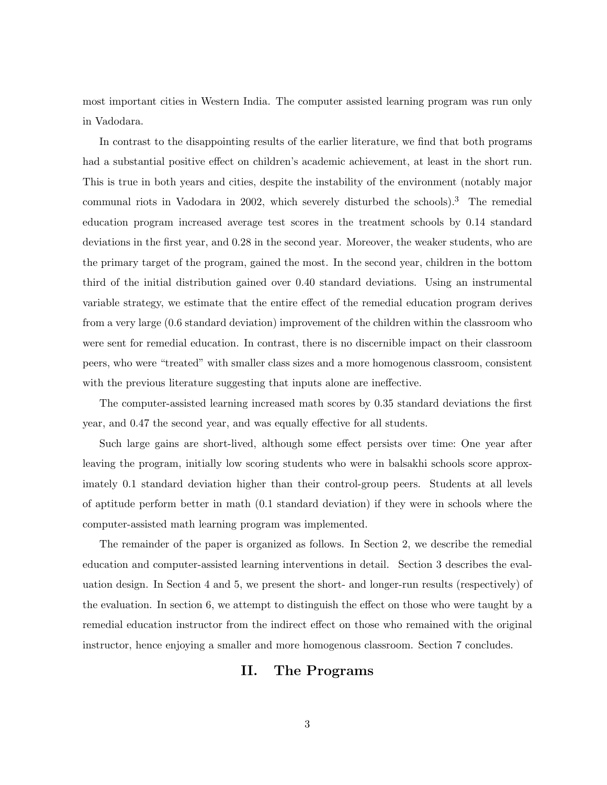most important cities in Western India. The computer assisted learning program was run only in Vadodara.

In contrast to the disappointing results of the earlier literature, we find that both programs had a substantial positive effect on children's academic achievement, at least in the short run. This is true in both years and cities, despite the instability of the environment (notably major communal riots in Vadodara in 2002, which severely disturbed the schools).<sup>3</sup> The remedial education program increased average test scores in the treatment schools by 0.14 standard deviations in the first year, and 0.28 in the second year. Moreover, the weaker students, who are the primary target of the program, gained the most. In the second year, children in the bottom third of the initial distribution gained over 0.40 standard deviations. Using an instrumental variable strategy, we estimate that the entire effect of the remedial education program derives from a very large (0.6 standard deviation) improvement of the children within the classroom who were sent for remedial education. In contrast, there is no discernible impact on their classroom peers, who were "treated" with smaller class sizes and a more homogenous classroom, consistent with the previous literature suggesting that inputs alone are ineffective.

The computer-assisted learning increased math scores by 0.35 standard deviations the first year, and 0.47 the second year, and was equally effective for all students.

Such large gains are short-lived, although some effect persists over time: One year after leaving the program, initially low scoring students who were in balsakhi schools score approximately 0.1 standard deviation higher than their control-group peers. Students at all levels of aptitude perform better in math (0.1 standard deviation) if they were in schools where the computer-assisted math learning program was implemented.

The remainder of the paper is organized as follows. In Section 2, we describe the remedial education and computer-assisted learning interventions in detail. Section 3 describes the evaluation design. In Section 4 and 5, we present the short- and longer-run results (respectively) of the evaluation. In section 6, we attempt to distinguish the effect on those who were taught by a remedial education instructor from the indirect effect on those who remained with the original instructor, hence enjoying a smaller and more homogenous classroom. Section 7 concludes.

## II. The Programs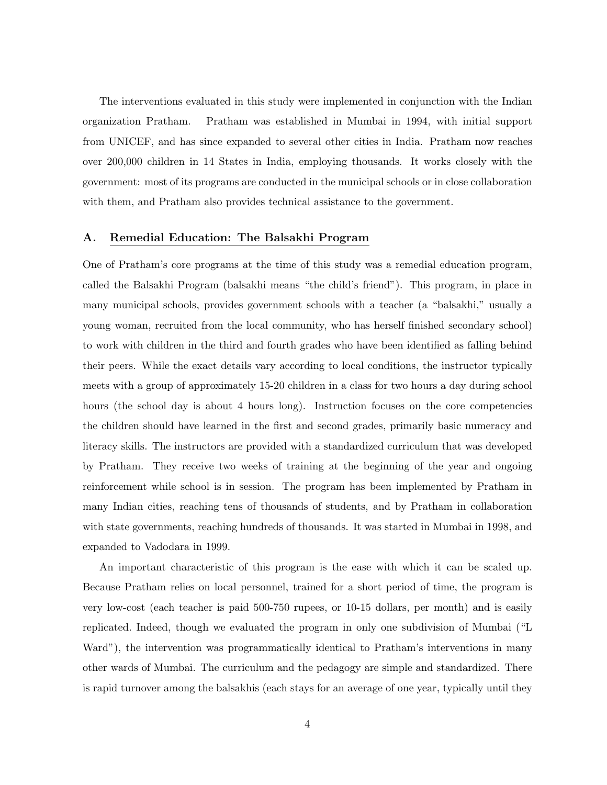The interventions evaluated in this study were implemented in conjunction with the Indian organization Pratham. Pratham was established in Mumbai in 1994, with initial support from UNICEF, and has since expanded to several other cities in India. Pratham now reaches over 200,000 children in 14 States in India, employing thousands. It works closely with the government: most of its programs are conducted in the municipal schools or in close collaboration with them, and Pratham also provides technical assistance to the government.

#### A. Remedial Education: The Balsakhi Program

One of Pratham's core programs at the time of this study was a remedial education program, called the Balsakhi Program (balsakhi means "the child's friend"). This program, in place in many municipal schools, provides government schools with a teacher (a "balsakhi," usually a young woman, recruited from the local community, who has herself finished secondary school) to work with children in the third and fourth grades who have been identified as falling behind their peers. While the exact details vary according to local conditions, the instructor typically meets with a group of approximately 15-20 children in a class for two hours a day during school hours (the school day is about 4 hours long). Instruction focuses on the core competencies the children should have learned in the first and second grades, primarily basic numeracy and literacy skills. The instructors are provided with a standardized curriculum that was developed by Pratham. They receive two weeks of training at the beginning of the year and ongoing reinforcement while school is in session. The program has been implemented by Pratham in many Indian cities, reaching tens of thousands of students, and by Pratham in collaboration with state governments, reaching hundreds of thousands. It was started in Mumbai in 1998, and expanded to Vadodara in 1999.

An important characteristic of this program is the ease with which it can be scaled up. Because Pratham relies on local personnel, trained for a short period of time, the program is very low-cost (each teacher is paid 500-750 rupees, or 10-15 dollars, per month) and is easily replicated. Indeed, though we evaluated the program in only one subdivision of Mumbai ("L Ward"), the intervention was programmatically identical to Pratham's interventions in many other wards of Mumbai. The curriculum and the pedagogy are simple and standardized. There is rapid turnover among the balsakhis (each stays for an average of one year, typically until they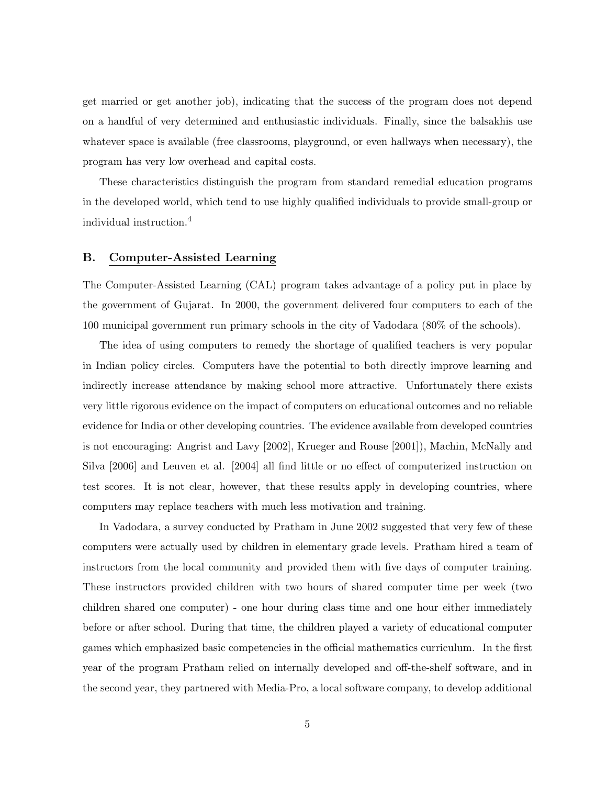get married or get another job), indicating that the success of the program does not depend on a handful of very determined and enthusiastic individuals. Finally, since the balsakhis use whatever space is available (free classrooms, playground, or even hallways when necessary), the program has very low overhead and capital costs.

These characteristics distinguish the program from standard remedial education programs in the developed world, which tend to use highly qualified individuals to provide small-group or individual instruction.<sup>4</sup>

## B. Computer-Assisted Learning

The Computer-Assisted Learning (CAL) program takes advantage of a policy put in place by the government of Gujarat. In 2000, the government delivered four computers to each of the 100 municipal government run primary schools in the city of Vadodara (80% of the schools).

The idea of using computers to remedy the shortage of qualified teachers is very popular in Indian policy circles. Computers have the potential to both directly improve learning and indirectly increase attendance by making school more attractive. Unfortunately there exists very little rigorous evidence on the impact of computers on educational outcomes and no reliable evidence for India or other developing countries. The evidence available from developed countries is not encouraging: Angrist and Lavy [2002], Krueger and Rouse [2001]), Machin, McNally and Silva [2006] and Leuven et al. [2004] all find little or no effect of computerized instruction on test scores. It is not clear, however, that these results apply in developing countries, where computers may replace teachers with much less motivation and training.

In Vadodara, a survey conducted by Pratham in June 2002 suggested that very few of these computers were actually used by children in elementary grade levels. Pratham hired a team of instructors from the local community and provided them with five days of computer training. These instructors provided children with two hours of shared computer time per week (two children shared one computer) - one hour during class time and one hour either immediately before or after school. During that time, the children played a variety of educational computer games which emphasized basic competencies in the official mathematics curriculum. In the first year of the program Pratham relied on internally developed and off-the-shelf software, and in the second year, they partnered with Media-Pro, a local software company, to develop additional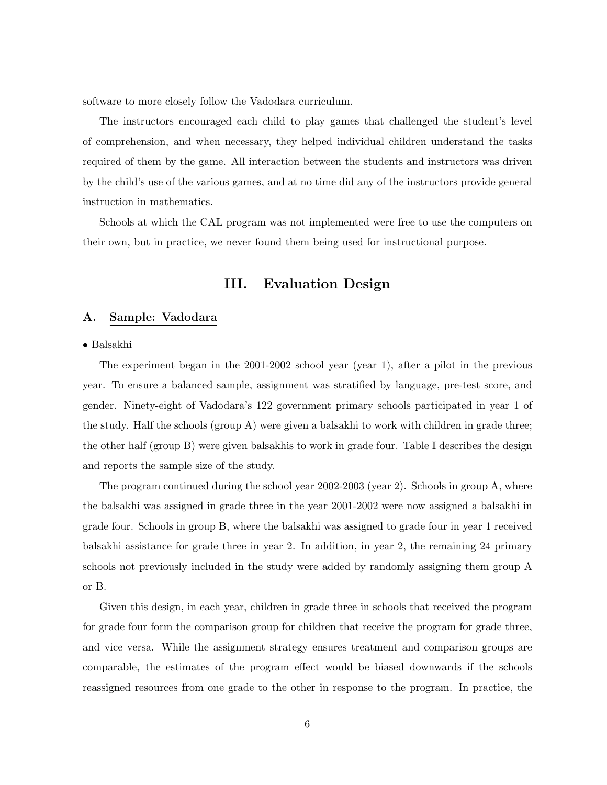software to more closely follow the Vadodara curriculum.

The instructors encouraged each child to play games that challenged the student's level of comprehension, and when necessary, they helped individual children understand the tasks required of them by the game. All interaction between the students and instructors was driven by the child's use of the various games, and at no time did any of the instructors provide general instruction in mathematics.

Schools at which the CAL program was not implemented were free to use the computers on their own, but in practice, we never found them being used for instructional purpose.

# III. Evaluation Design

#### A. Sample: Vadodara

#### • Balsakhi

The experiment began in the 2001-2002 school year (year 1), after a pilot in the previous year. To ensure a balanced sample, assignment was stratified by language, pre-test score, and gender. Ninety-eight of Vadodara's 122 government primary schools participated in year 1 of the study. Half the schools (group A) were given a balsakhi to work with children in grade three; the other half (group B) were given balsakhis to work in grade four. Table I describes the design and reports the sample size of the study.

The program continued during the school year 2002-2003 (year 2). Schools in group A, where the balsakhi was assigned in grade three in the year 2001-2002 were now assigned a balsakhi in grade four. Schools in group B, where the balsakhi was assigned to grade four in year 1 received balsakhi assistance for grade three in year 2. In addition, in year 2, the remaining 24 primary schools not previously included in the study were added by randomly assigning them group A or B.

Given this design, in each year, children in grade three in schools that received the program for grade four form the comparison group for children that receive the program for grade three, and vice versa. While the assignment strategy ensures treatment and comparison groups are comparable, the estimates of the program effect would be biased downwards if the schools reassigned resources from one grade to the other in response to the program. In practice, the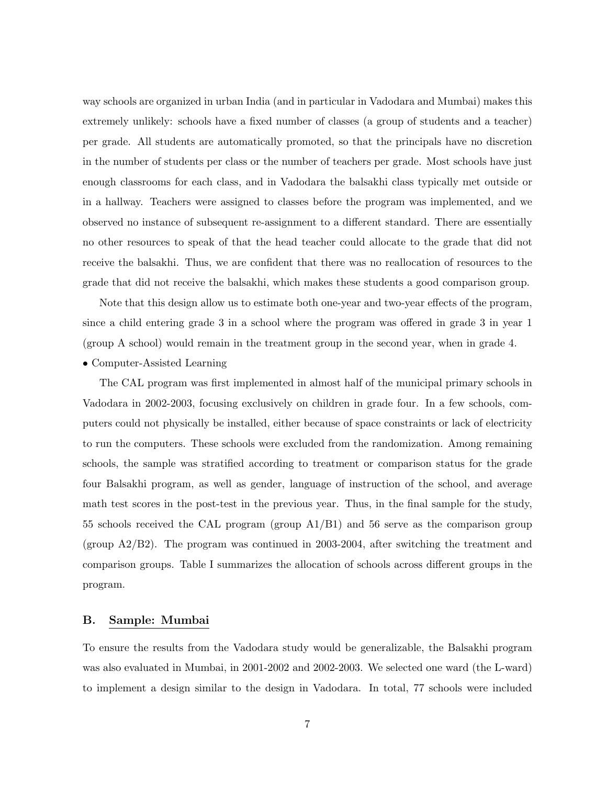way schools are organized in urban India (and in particular in Vadodara and Mumbai) makes this extremely unlikely: schools have a fixed number of classes (a group of students and a teacher) per grade. All students are automatically promoted, so that the principals have no discretion in the number of students per class or the number of teachers per grade. Most schools have just enough classrooms for each class, and in Vadodara the balsakhi class typically met outside or in a hallway. Teachers were assigned to classes before the program was implemented, and we observed no instance of subsequent re-assignment to a different standard. There are essentially no other resources to speak of that the head teacher could allocate to the grade that did not receive the balsakhi. Thus, we are confident that there was no reallocation of resources to the grade that did not receive the balsakhi, which makes these students a good comparison group.

Note that this design allow us to estimate both one-year and two-year effects of the program, since a child entering grade 3 in a school where the program was offered in grade 3 in year 1 (group A school) would remain in the treatment group in the second year, when in grade 4.

• Computer-Assisted Learning

The CAL program was first implemented in almost half of the municipal primary schools in Vadodara in 2002-2003, focusing exclusively on children in grade four. In a few schools, computers could not physically be installed, either because of space constraints or lack of electricity to run the computers. These schools were excluded from the randomization. Among remaining schools, the sample was stratified according to treatment or comparison status for the grade four Balsakhi program, as well as gender, language of instruction of the school, and average math test scores in the post-test in the previous year. Thus, in the final sample for the study, 55 schools received the CAL program (group A1/B1) and 56 serve as the comparison group (group A2/B2). The program was continued in 2003-2004, after switching the treatment and comparison groups. Table I summarizes the allocation of schools across different groups in the program.

#### B. Sample: Mumbai

To ensure the results from the Vadodara study would be generalizable, the Balsakhi program was also evaluated in Mumbai, in 2001-2002 and 2002-2003. We selected one ward (the L-ward) to implement a design similar to the design in Vadodara. In total, 77 schools were included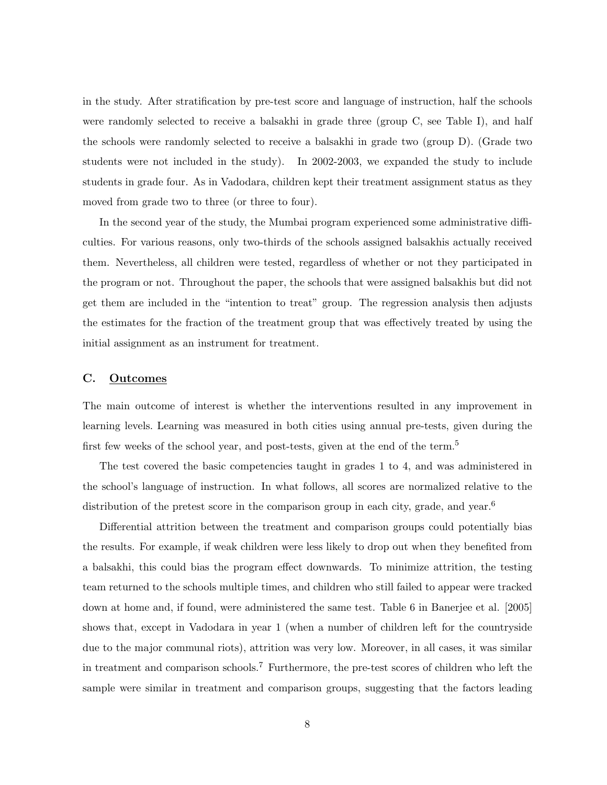in the study. After stratification by pre-test score and language of instruction, half the schools were randomly selected to receive a balsakhi in grade three (group C, see Table I), and half the schools were randomly selected to receive a balsakhi in grade two (group D). (Grade two students were not included in the study). In 2002-2003, we expanded the study to include students in grade four. As in Vadodara, children kept their treatment assignment status as they moved from grade two to three (or three to four).

In the second year of the study, the Mumbai program experienced some administrative difficulties. For various reasons, only two-thirds of the schools assigned balsakhis actually received them. Nevertheless, all children were tested, regardless of whether or not they participated in the program or not. Throughout the paper, the schools that were assigned balsakhis but did not get them are included in the "intention to treat" group. The regression analysis then adjusts the estimates for the fraction of the treatment group that was effectively treated by using the initial assignment as an instrument for treatment.

#### C. Outcomes

The main outcome of interest is whether the interventions resulted in any improvement in learning levels. Learning was measured in both cities using annual pre-tests, given during the first few weeks of the school year, and post-tests, given at the end of the term.<sup>5</sup>

The test covered the basic competencies taught in grades 1 to 4, and was administered in the school's language of instruction. In what follows, all scores are normalized relative to the distribution of the pretest score in the comparison group in each city, grade, and year.<sup>6</sup>

Differential attrition between the treatment and comparison groups could potentially bias the results. For example, if weak children were less likely to drop out when they benefited from a balsakhi, this could bias the program effect downwards. To minimize attrition, the testing team returned to the schools multiple times, and children who still failed to appear were tracked down at home and, if found, were administered the same test. Table 6 in Banerjee et al. [2005] shows that, except in Vadodara in year 1 (when a number of children left for the countryside due to the major communal riots), attrition was very low. Moreover, in all cases, it was similar in treatment and comparison schools.<sup>7</sup> Furthermore, the pre-test scores of children who left the sample were similar in treatment and comparison groups, suggesting that the factors leading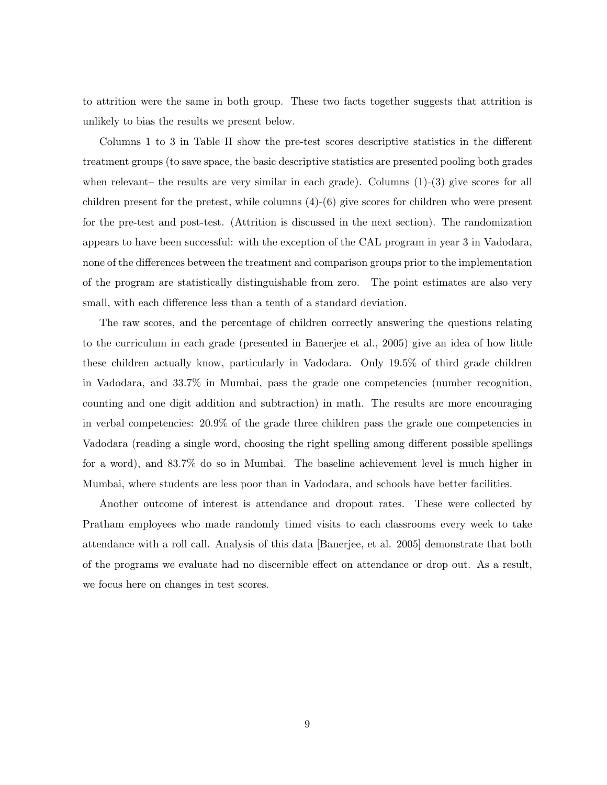to attrition were the same in both group. These two facts together suggests that attrition is unlikely to bias the results we present below.

Columns 1 to 3 in Table II show the pre-test scores descriptive statistics in the different treatment groups (to save space, the basic descriptive statistics are presented pooling both grades when relevant– the results are very similar in each grade). Columns  $(1)-(3)$  give scores for all children present for the pretest, while columns (4)-(6) give scores for children who were present for the pre-test and post-test. (Attrition is discussed in the next section). The randomization appears to have been successful: with the exception of the CAL program in year 3 in Vadodara, none of the differences between the treatment and comparison groups prior to the implementation of the program are statistically distinguishable from zero. The point estimates are also very small, with each difference less than a tenth of a standard deviation.

The raw scores, and the percentage of children correctly answering the questions relating to the curriculum in each grade (presented in Banerjee et al., 2005) give an idea of how little these children actually know, particularly in Vadodara. Only 19.5% of third grade children in Vadodara, and 33.7% in Mumbai, pass the grade one competencies (number recognition, counting and one digit addition and subtraction) in math. The results are more encouraging in verbal competencies: 20.9% of the grade three children pass the grade one competencies in Vadodara (reading a single word, choosing the right spelling among different possible spellings for a word), and 83.7% do so in Mumbai. The baseline achievement level is much higher in Mumbai, where students are less poor than in Vadodara, and schools have better facilities.

Another outcome of interest is attendance and dropout rates. These were collected by Pratham employees who made randomly timed visits to each classrooms every week to take attendance with a roll call. Analysis of this data [Banerjee, et al. 2005] demonstrate that both of the programs we evaluate had no discernible effect on attendance or drop out. As a result, we focus here on changes in test scores.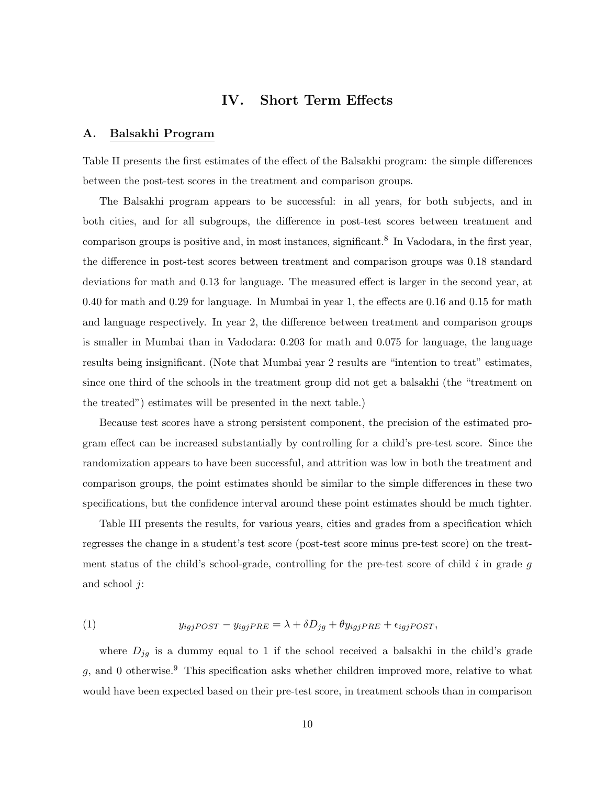# IV. Short Term Effects

#### A. Balsakhi Program

Table II presents the first estimates of the effect of the Balsakhi program: the simple differences between the post-test scores in the treatment and comparison groups.

The Balsakhi program appears to be successful: in all years, for both subjects, and in both cities, and for all subgroups, the difference in post-test scores between treatment and comparison groups is positive and, in most instances, significant.<sup>8</sup> In Vadodara, in the first year, the difference in post-test scores between treatment and comparison groups was 0.18 standard deviations for math and 0.13 for language. The measured effect is larger in the second year, at 0.40 for math and 0.29 for language. In Mumbai in year 1, the effects are 0.16 and 0.15 for math and language respectively. In year 2, the difference between treatment and comparison groups is smaller in Mumbai than in Vadodara: 0.203 for math and 0.075 for language, the language results being insignificant. (Note that Mumbai year 2 results are "intention to treat" estimates, since one third of the schools in the treatment group did not get a balsakhi (the "treatment on the treated") estimates will be presented in the next table.)

Because test scores have a strong persistent component, the precision of the estimated program effect can be increased substantially by controlling for a child's pre-test score. Since the randomization appears to have been successful, and attrition was low in both the treatment and comparison groups, the point estimates should be similar to the simple differences in these two specifications, but the confidence interval around these point estimates should be much tighter.

Table III presents the results, for various years, cities and grades from a specification which regresses the change in a student's test score (post-test score minus pre-test score) on the treatment status of the child's school-grade, controlling for the pre-test score of child  $i$  in grade g and school j:

(1) 
$$
y_{igjPOST} - y_{igjPRE} = \lambda + \delta D_{jg} + \theta y_{igjPRE} + \epsilon_{igjPOST},
$$

where  $D_{jg}$  is a dummy equal to 1 if the school received a balsakhi in the child's grade g, and 0 otherwise.<sup>9</sup> This specification asks whether children improved more, relative to what would have been expected based on their pre-test score, in treatment schools than in comparison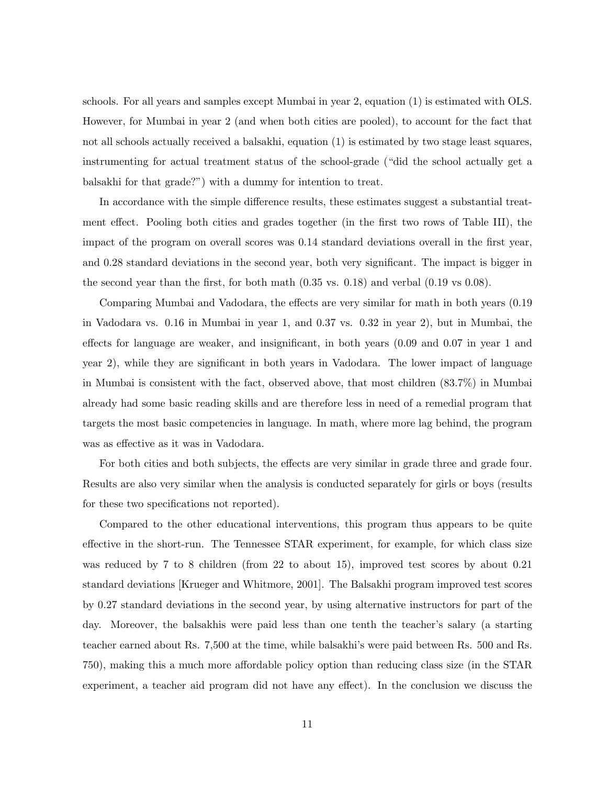schools. For all years and samples except Mumbai in year 2, equation (1) is estimated with OLS. However, for Mumbai in year 2 (and when both cities are pooled), to account for the fact that not all schools actually received a balsakhi, equation (1) is estimated by two stage least squares, instrumenting for actual treatment status of the school-grade ("did the school actually get a balsakhi for that grade?") with a dummy for intention to treat.

In accordance with the simple difference results, these estimates suggest a substantial treatment effect. Pooling both cities and grades together (in the first two rows of Table III), the impact of the program on overall scores was 0.14 standard deviations overall in the first year, and 0.28 standard deviations in the second year, both very significant. The impact is bigger in the second year than the first, for both math (0.35 vs. 0.18) and verbal (0.19 vs 0.08).

Comparing Mumbai and Vadodara, the effects are very similar for math in both years (0.19 in Vadodara vs. 0.16 in Mumbai in year 1, and 0.37 vs. 0.32 in year 2), but in Mumbai, the effects for language are weaker, and insignificant, in both years (0.09 and 0.07 in year 1 and year 2), while they are significant in both years in Vadodara. The lower impact of language in Mumbai is consistent with the fact, observed above, that most children (83.7%) in Mumbai already had some basic reading skills and are therefore less in need of a remedial program that targets the most basic competencies in language. In math, where more lag behind, the program was as effective as it was in Vadodara.

For both cities and both subjects, the effects are very similar in grade three and grade four. Results are also very similar when the analysis is conducted separately for girls or boys (results for these two specifications not reported).

Compared to the other educational interventions, this program thus appears to be quite effective in the short-run. The Tennessee STAR experiment, for example, for which class size was reduced by 7 to 8 children (from 22 to about 15), improved test scores by about 0.21 standard deviations [Krueger and Whitmore, 2001]. The Balsakhi program improved test scores by 0.27 standard deviations in the second year, by using alternative instructors for part of the day. Moreover, the balsakhis were paid less than one tenth the teacher's salary (a starting teacher earned about Rs. 7,500 at the time, while balsakhi's were paid between Rs. 500 and Rs. 750), making this a much more affordable policy option than reducing class size (in the STAR experiment, a teacher aid program did not have any effect). In the conclusion we discuss the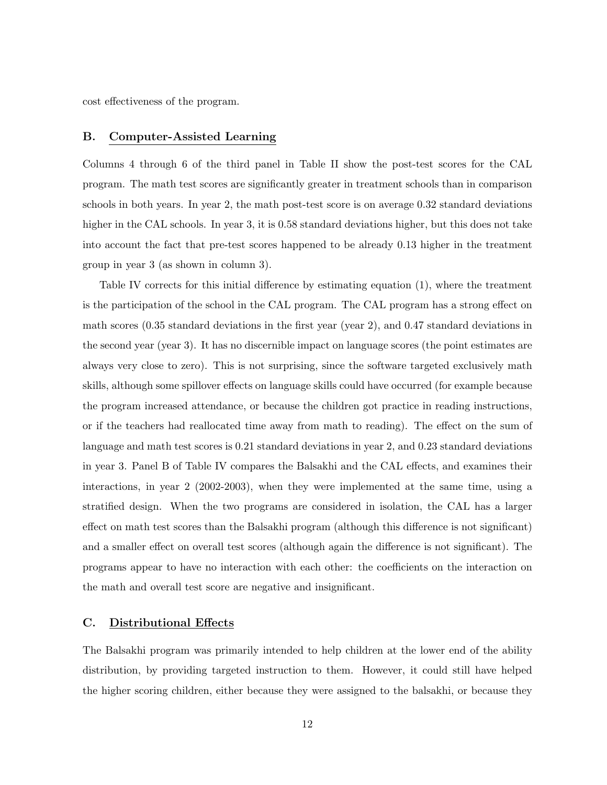cost effectiveness of the program.

## B. Computer-Assisted Learning

Columns 4 through 6 of the third panel in Table II show the post-test scores for the CAL program. The math test scores are significantly greater in treatment schools than in comparison schools in both years. In year 2, the math post-test score is on average 0.32 standard deviations higher in the CAL schools. In year 3, it is 0.58 standard deviations higher, but this does not take into account the fact that pre-test scores happened to be already 0.13 higher in the treatment group in year 3 (as shown in column 3).

Table IV corrects for this initial difference by estimating equation (1), where the treatment is the participation of the school in the CAL program. The CAL program has a strong effect on math scores (0.35 standard deviations in the first year (year 2), and 0.47 standard deviations in the second year (year 3). It has no discernible impact on language scores (the point estimates are always very close to zero). This is not surprising, since the software targeted exclusively math skills, although some spillover effects on language skills could have occurred (for example because the program increased attendance, or because the children got practice in reading instructions, or if the teachers had reallocated time away from math to reading). The effect on the sum of language and math test scores is 0.21 standard deviations in year 2, and 0.23 standard deviations in year 3. Panel B of Table IV compares the Balsakhi and the CAL effects, and examines their interactions, in year 2 (2002-2003), when they were implemented at the same time, using a stratified design. When the two programs are considered in isolation, the CAL has a larger effect on math test scores than the Balsakhi program (although this difference is not significant) and a smaller effect on overall test scores (although again the difference is not significant). The programs appear to have no interaction with each other: the coefficients on the interaction on the math and overall test score are negative and insignificant.

#### C. Distributional Effects

The Balsakhi program was primarily intended to help children at the lower end of the ability distribution, by providing targeted instruction to them. However, it could still have helped the higher scoring children, either because they were assigned to the balsakhi, or because they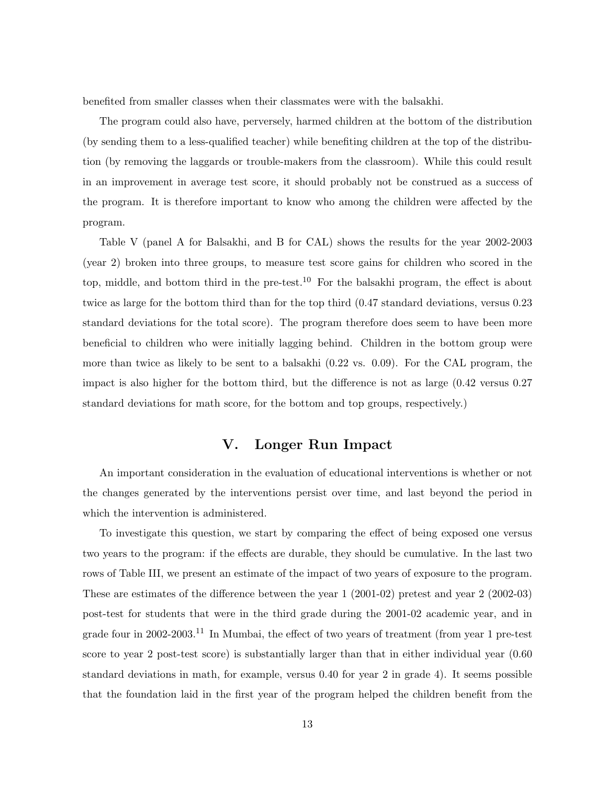benefited from smaller classes when their classmates were with the balsakhi.

The program could also have, perversely, harmed children at the bottom of the distribution (by sending them to a less-qualified teacher) while benefiting children at the top of the distribution (by removing the laggards or trouble-makers from the classroom). While this could result in an improvement in average test score, it should probably not be construed as a success of the program. It is therefore important to know who among the children were affected by the program.

Table V (panel A for Balsakhi, and B for CAL) shows the results for the year 2002-2003 (year 2) broken into three groups, to measure test score gains for children who scored in the top, middle, and bottom third in the pre-test.<sup>10</sup> For the balsakhi program, the effect is about twice as large for the bottom third than for the top third (0.47 standard deviations, versus 0.23 standard deviations for the total score). The program therefore does seem to have been more beneficial to children who were initially lagging behind. Children in the bottom group were more than twice as likely to be sent to a balsakhi (0.22 vs. 0.09). For the CAL program, the impact is also higher for the bottom third, but the difference is not as large (0.42 versus 0.27 standard deviations for math score, for the bottom and top groups, respectively.)

## V. Longer Run Impact

An important consideration in the evaluation of educational interventions is whether or not the changes generated by the interventions persist over time, and last beyond the period in which the intervention is administered.

To investigate this question, we start by comparing the effect of being exposed one versus two years to the program: if the effects are durable, they should be cumulative. In the last two rows of Table III, we present an estimate of the impact of two years of exposure to the program. These are estimates of the difference between the year 1 (2001-02) pretest and year 2 (2002-03) post-test for students that were in the third grade during the 2001-02 academic year, and in grade four in 2002-2003.<sup>11</sup> In Mumbai, the effect of two years of treatment (from year 1 pre-test score to year 2 post-test score) is substantially larger than that in either individual year  $(0.60$ standard deviations in math, for example, versus 0.40 for year 2 in grade 4). It seems possible that the foundation laid in the first year of the program helped the children benefit from the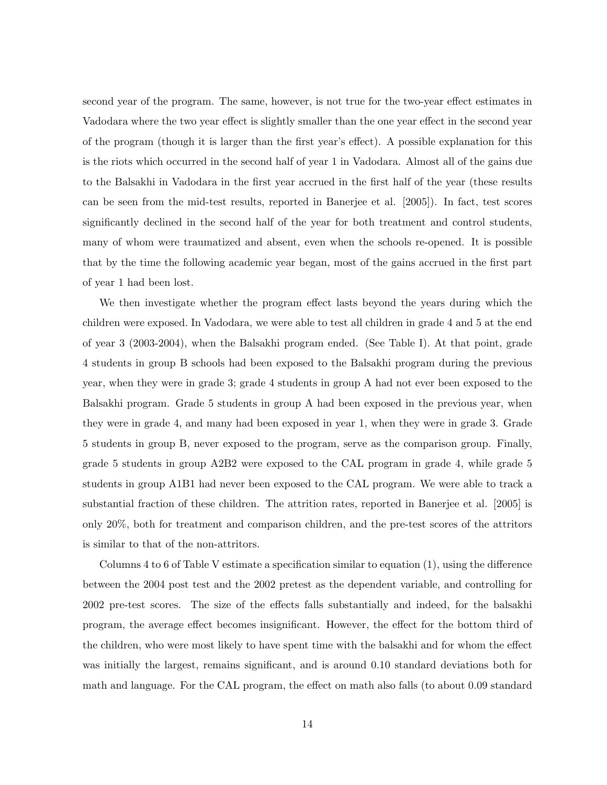second year of the program. The same, however, is not true for the two-year effect estimates in Vadodara where the two year effect is slightly smaller than the one year effect in the second year of the program (though it is larger than the first year's effect). A possible explanation for this is the riots which occurred in the second half of year 1 in Vadodara. Almost all of the gains due to the Balsakhi in Vadodara in the first year accrued in the first half of the year (these results can be seen from the mid-test results, reported in Banerjee et al. [2005]). In fact, test scores significantly declined in the second half of the year for both treatment and control students, many of whom were traumatized and absent, even when the schools re-opened. It is possible that by the time the following academic year began, most of the gains accrued in the first part of year 1 had been lost.

We then investigate whether the program effect lasts beyond the years during which the children were exposed. In Vadodara, we were able to test all children in grade 4 and 5 at the end of year 3 (2003-2004), when the Balsakhi program ended. (See Table I). At that point, grade 4 students in group B schools had been exposed to the Balsakhi program during the previous year, when they were in grade 3; grade 4 students in group A had not ever been exposed to the Balsakhi program. Grade 5 students in group A had been exposed in the previous year, when they were in grade 4, and many had been exposed in year 1, when they were in grade 3. Grade 5 students in group B, never exposed to the program, serve as the comparison group. Finally, grade 5 students in group A2B2 were exposed to the CAL program in grade 4, while grade 5 students in group A1B1 had never been exposed to the CAL program. We were able to track a substantial fraction of these children. The attrition rates, reported in Banerjee et al. [2005] is only 20%, both for treatment and comparison children, and the pre-test scores of the attritors is similar to that of the non-attritors.

Columns 4 to 6 of Table V estimate a specification similar to equation  $(1)$ , using the difference between the 2004 post test and the 2002 pretest as the dependent variable, and controlling for 2002 pre-test scores. The size of the effects falls substantially and indeed, for the balsakhi program, the average effect becomes insignificant. However, the effect for the bottom third of the children, who were most likely to have spent time with the balsakhi and for whom the effect was initially the largest, remains significant, and is around 0.10 standard deviations both for math and language. For the CAL program, the effect on math also falls (to about 0.09 standard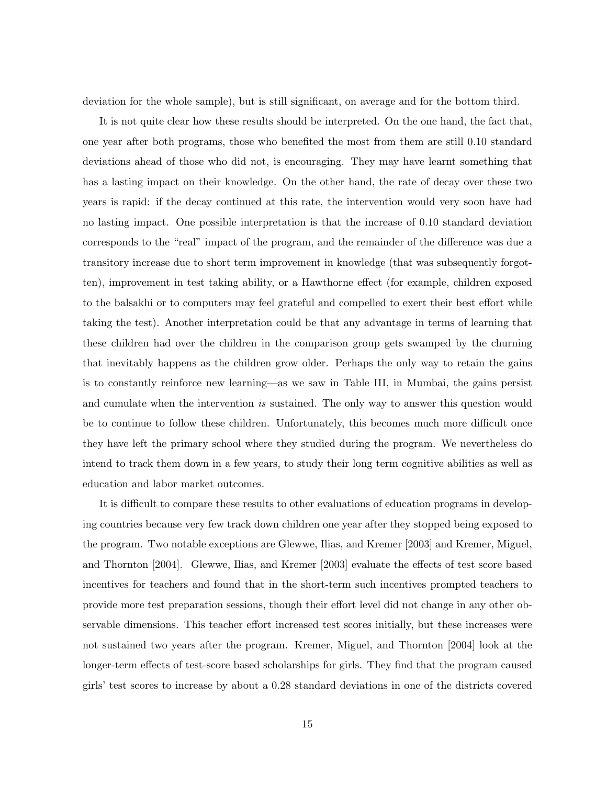deviation for the whole sample), but is still significant, on average and for the bottom third.

It is not quite clear how these results should be interpreted. On the one hand, the fact that, one year after both programs, those who benefited the most from them are still 0.10 standard deviations ahead of those who did not, is encouraging. They may have learnt something that has a lasting impact on their knowledge. On the other hand, the rate of decay over these two years is rapid: if the decay continued at this rate, the intervention would very soon have had no lasting impact. One possible interpretation is that the increase of 0.10 standard deviation corresponds to the "real" impact of the program, and the remainder of the difference was due a transitory increase due to short term improvement in knowledge (that was subsequently forgotten), improvement in test taking ability, or a Hawthorne effect (for example, children exposed to the balsakhi or to computers may feel grateful and compelled to exert their best effort while taking the test). Another interpretation could be that any advantage in terms of learning that these children had over the children in the comparison group gets swamped by the churning that inevitably happens as the children grow older. Perhaps the only way to retain the gains is to constantly reinforce new learning—as we saw in Table III, in Mumbai, the gains persist and cumulate when the intervention is sustained. The only way to answer this question would be to continue to follow these children. Unfortunately, this becomes much more difficult once they have left the primary school where they studied during the program. We nevertheless do intend to track them down in a few years, to study their long term cognitive abilities as well as education and labor market outcomes.

It is difficult to compare these results to other evaluations of education programs in developing countries because very few track down children one year after they stopped being exposed to the program. Two notable exceptions are Glewwe, Ilias, and Kremer [2003] and Kremer, Miguel, and Thornton [2004]. Glewwe, Ilias, and Kremer [2003] evaluate the effects of test score based incentives for teachers and found that in the short-term such incentives prompted teachers to provide more test preparation sessions, though their effort level did not change in any other observable dimensions. This teacher effort increased test scores initially, but these increases were not sustained two years after the program. Kremer, Miguel, and Thornton [2004] look at the longer-term effects of test-score based scholarships for girls. They find that the program caused girls' test scores to increase by about a 0.28 standard deviations in one of the districts covered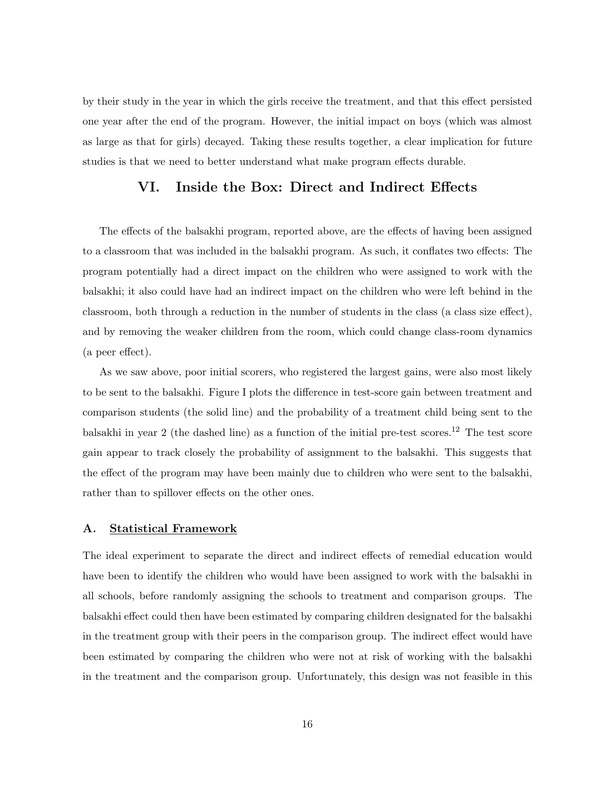by their study in the year in which the girls receive the treatment, and that this effect persisted one year after the end of the program. However, the initial impact on boys (which was almost as large as that for girls) decayed. Taking these results together, a clear implication for future studies is that we need to better understand what make program effects durable.

## VI. Inside the Box: Direct and Indirect Effects

The effects of the balsakhi program, reported above, are the effects of having been assigned to a classroom that was included in the balsakhi program. As such, it conflates two effects: The program potentially had a direct impact on the children who were assigned to work with the balsakhi; it also could have had an indirect impact on the children who were left behind in the classroom, both through a reduction in the number of students in the class (a class size effect), and by removing the weaker children from the room, which could change class-room dynamics (a peer effect).

As we saw above, poor initial scorers, who registered the largest gains, were also most likely to be sent to the balsakhi. Figure I plots the difference in test-score gain between treatment and comparison students (the solid line) and the probability of a treatment child being sent to the balsakhi in year 2 (the dashed line) as a function of the initial pre-test scores.<sup>12</sup> The test score gain appear to track closely the probability of assignment to the balsakhi. This suggests that the effect of the program may have been mainly due to children who were sent to the balsakhi, rather than to spillover effects on the other ones.

#### A. Statistical Framework

The ideal experiment to separate the direct and indirect effects of remedial education would have been to identify the children who would have been assigned to work with the balsakhi in all schools, before randomly assigning the schools to treatment and comparison groups. The balsakhi effect could then have been estimated by comparing children designated for the balsakhi in the treatment group with their peers in the comparison group. The indirect effect would have been estimated by comparing the children who were not at risk of working with the balsakhi in the treatment and the comparison group. Unfortunately, this design was not feasible in this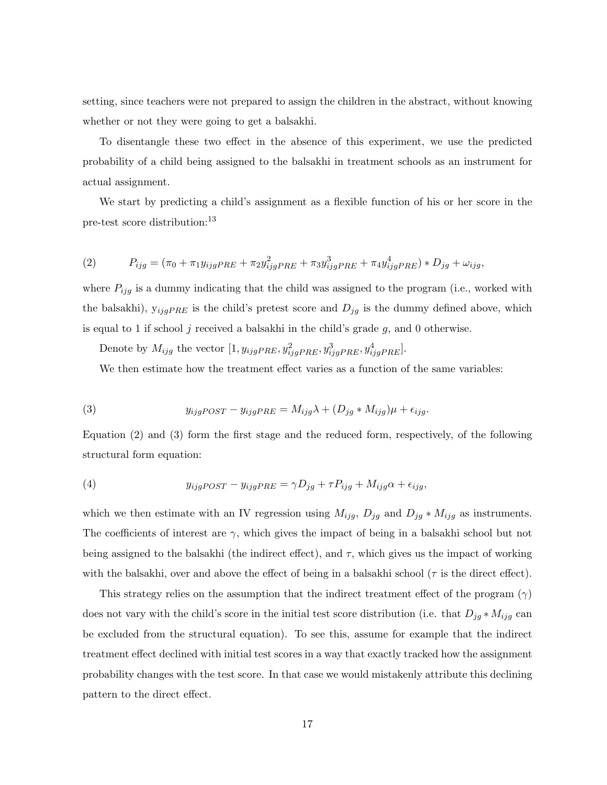setting, since teachers were not prepared to assign the children in the abstract, without knowing whether or not they were going to get a balsakhi.

To disentangle these two effect in the absence of this experiment, we use the predicted probability of a child being assigned to the balsakhi in treatment schools as an instrument for actual assignment.

We start by predicting a child's assignment as a flexible function of his or her score in the pre-test score distribution:<sup>13</sup>

(2) 
$$
P_{ijg} = (\pi_0 + \pi_1 y_{ijgPRE} + \pi_2 y_{ijgPRE}^2 + \pi_3 y_{ijgPRE}^3 + \pi_4 y_{ijgPRE}^4) * D_{jg} + \omega_{ijg},
$$

where  $P_{ijg}$  is a dummy indicating that the child was assigned to the program (i.e., worked with the balsakhi),  $y_{ijgPRE}$  is the child's pretest score and  $D_{jg}$  is the dummy defined above, which is equal to 1 if school  $j$  received a balsakhi in the child's grade  $g$ , and 0 otherwise.

Denote by  $M_{ijg}$  the vector  $[1, y_{ijgPRE}, y_{ijgPRE}^2, y_{ijgPRE}^3, y_{ijgPRE}^4]$ .

We then estimate how the treatment effect varies as a function of the same variables:

(3) 
$$
y_{ijgPOST} - y_{ijgPRE} = M_{ijg} \lambda + (D_{jg} * M_{ijg}) \mu + \epsilon_{ijg}.
$$

Equation (2) and (3) form the first stage and the reduced form, respectively, of the following structural form equation:

(4) 
$$
y_{ijgPOST} - y_{ijgPRE} = \gamma D_{jg} + \tau P_{ijg} + M_{ijg}\alpha + \epsilon_{ijg},
$$

which we then estimate with an IV regression using  $M_{ijg}$ ,  $D_{jg}$  and  $D_{jg} * M_{ijg}$  as instruments. The coefficients of interest are  $\gamma$ , which gives the impact of being in a balsakhi school but not being assigned to the balsakhi (the indirect effect), and  $\tau$ , which gives us the impact of working with the balsakhi, over and above the effect of being in a balsakhi school ( $\tau$  is the direct effect).

This strategy relies on the assumption that the indirect treatment effect of the program  $(\gamma)$ does not vary with the child's score in the initial test score distribution (i.e. that  $D_{jg} * M_{ijg}$  can be excluded from the structural equation). To see this, assume for example that the indirect treatment effect declined with initial test scores in a way that exactly tracked how the assignment probability changes with the test score. In that case we would mistakenly attribute this declining pattern to the direct effect.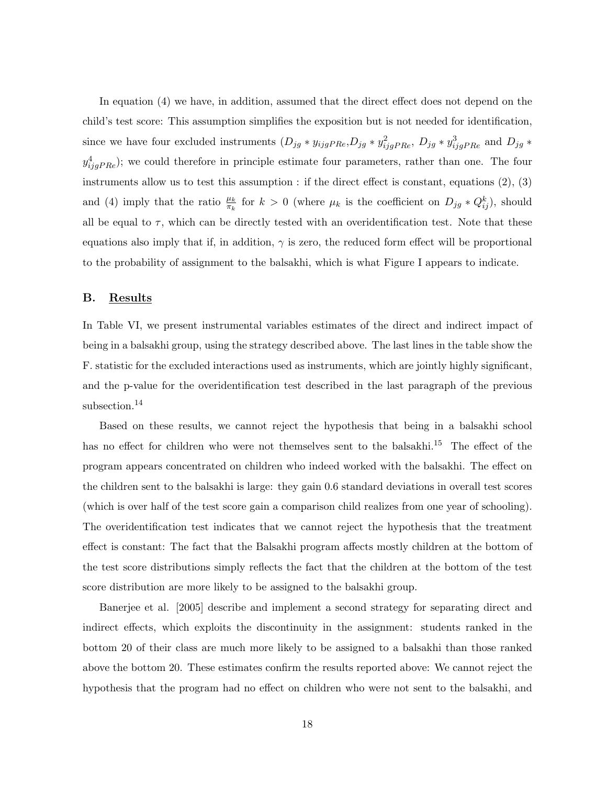In equation (4) we have, in addition, assumed that the direct effect does not depend on the child's test score: This assumption simplifies the exposition but is not needed for identification, since we have four excluded instruments  $(D_{jg} * y_{ijgPRE}, D_{jg} * y_{ijgPRE}^2, D_{jg} * y_{ijgPRE}^3$  and  $D_{jg} *$  $y_{ijgPRe}^4$ ; we could therefore in principle estimate four parameters, rather than one. The four instruments allow us to test this assumption : if the direct effect is constant, equations (2), (3) and (4) imply that the ratio  $\frac{\mu_k}{\pi_k}$  for  $k > 0$  (where  $\mu_k$  is the coefficient on  $D_{jg} * Q_{ij}^k$ ), should all be equal to  $\tau$ , which can be directly tested with an overidentification test. Note that these equations also imply that if, in addition,  $\gamma$  is zero, the reduced form effect will be proportional to the probability of assignment to the balsakhi, which is what Figure I appears to indicate.

#### B. Results

In Table VI, we present instrumental variables estimates of the direct and indirect impact of being in a balsakhi group, using the strategy described above. The last lines in the table show the F. statistic for the excluded interactions used as instruments, which are jointly highly significant, and the p-value for the overidentification test described in the last paragraph of the previous subsection.<sup>14</sup>

Based on these results, we cannot reject the hypothesis that being in a balsakhi school has no effect for children who were not themselves sent to the balsakhi.<sup>15</sup> The effect of the program appears concentrated on children who indeed worked with the balsakhi. The effect on the children sent to the balsakhi is large: they gain 0.6 standard deviations in overall test scores (which is over half of the test score gain a comparison child realizes from one year of schooling). The overidentification test indicates that we cannot reject the hypothesis that the treatment effect is constant: The fact that the Balsakhi program affects mostly children at the bottom of the test score distributions simply reflects the fact that the children at the bottom of the test score distribution are more likely to be assigned to the balsakhi group.

Banerjee et al. [2005] describe and implement a second strategy for separating direct and indirect effects, which exploits the discontinuity in the assignment: students ranked in the bottom 20 of their class are much more likely to be assigned to a balsakhi than those ranked above the bottom 20. These estimates confirm the results reported above: We cannot reject the hypothesis that the program had no effect on children who were not sent to the balsakhi, and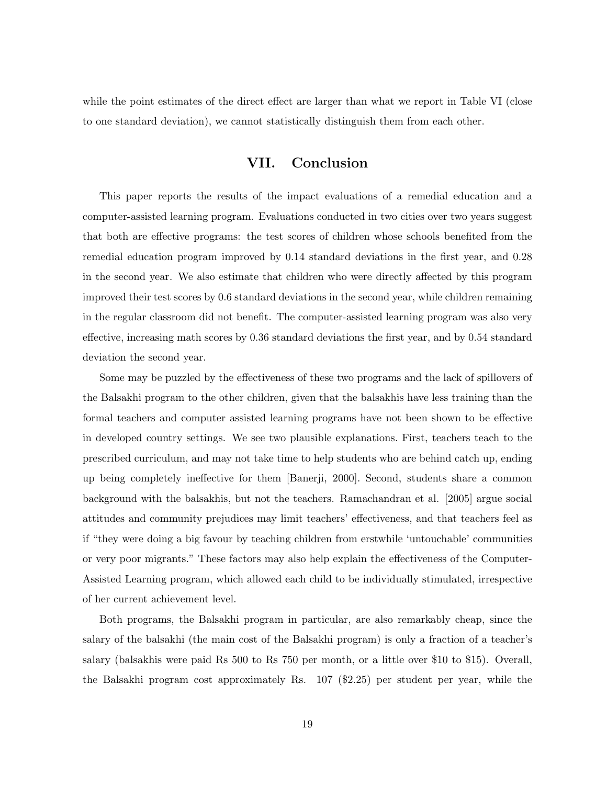while the point estimates of the direct effect are larger than what we report in Table VI (close to one standard deviation), we cannot statistically distinguish them from each other.

# VII. Conclusion

This paper reports the results of the impact evaluations of a remedial education and a computer-assisted learning program. Evaluations conducted in two cities over two years suggest that both are effective programs: the test scores of children whose schools benefited from the remedial education program improved by 0.14 standard deviations in the first year, and 0.28 in the second year. We also estimate that children who were directly affected by this program improved their test scores by 0.6 standard deviations in the second year, while children remaining in the regular classroom did not benefit. The computer-assisted learning program was also very effective, increasing math scores by 0.36 standard deviations the first year, and by 0.54 standard deviation the second year.

Some may be puzzled by the effectiveness of these two programs and the lack of spillovers of the Balsakhi program to the other children, given that the balsakhis have less training than the formal teachers and computer assisted learning programs have not been shown to be effective in developed country settings. We see two plausible explanations. First, teachers teach to the prescribed curriculum, and may not take time to help students who are behind catch up, ending up being completely ineffective for them [Banerji, 2000]. Second, students share a common background with the balsakhis, but not the teachers. Ramachandran et al. [2005] argue social attitudes and community prejudices may limit teachers' effectiveness, and that teachers feel as if "they were doing a big favour by teaching children from erstwhile 'untouchable' communities or very poor migrants." These factors may also help explain the effectiveness of the Computer-Assisted Learning program, which allowed each child to be individually stimulated, irrespective of her current achievement level.

Both programs, the Balsakhi program in particular, are also remarkably cheap, since the salary of the balsakhi (the main cost of the Balsakhi program) is only a fraction of a teacher's salary (balsakhis were paid Rs 500 to Rs 750 per month, or a little over \$10 to \$15). Overall, the Balsakhi program cost approximately Rs. 107 (\$2.25) per student per year, while the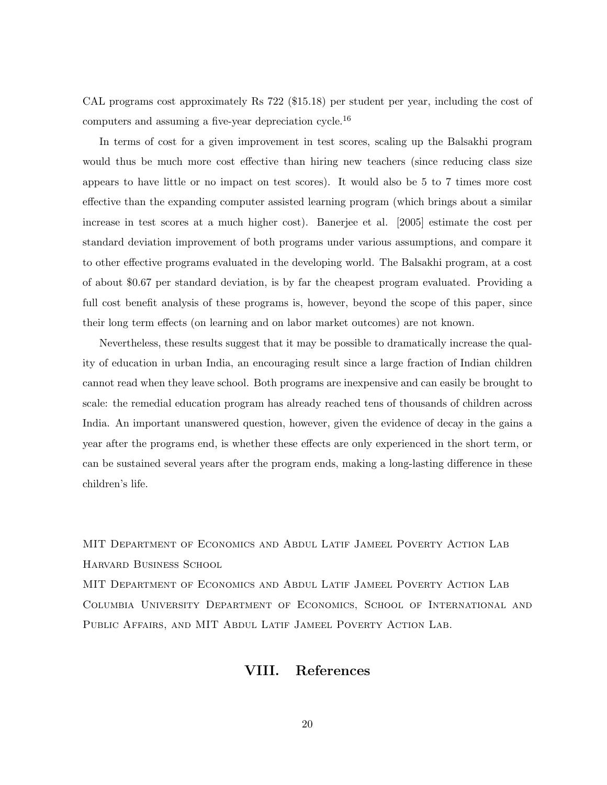CAL programs cost approximately Rs 722 (\$15.18) per student per year, including the cost of computers and assuming a five-year depreciation cycle.<sup>16</sup>

In terms of cost for a given improvement in test scores, scaling up the Balsakhi program would thus be much more cost effective than hiring new teachers (since reducing class size appears to have little or no impact on test scores). It would also be 5 to 7 times more cost effective than the expanding computer assisted learning program (which brings about a similar increase in test scores at a much higher cost). Banerjee et al. [2005] estimate the cost per standard deviation improvement of both programs under various assumptions, and compare it to other effective programs evaluated in the developing world. The Balsakhi program, at a cost of about \$0.67 per standard deviation, is by far the cheapest program evaluated. Providing a full cost benefit analysis of these programs is, however, beyond the scope of this paper, since their long term effects (on learning and on labor market outcomes) are not known.

Nevertheless, these results suggest that it may be possible to dramatically increase the quality of education in urban India, an encouraging result since a large fraction of Indian children cannot read when they leave school. Both programs are inexpensive and can easily be brought to scale: the remedial education program has already reached tens of thousands of children across India. An important unanswered question, however, given the evidence of decay in the gains a year after the programs end, is whether these effects are only experienced in the short term, or can be sustained several years after the program ends, making a long-lasting difference in these children's life.

MIT Department of Economics and Abdul Latif Jameel Poverty Action Lab Harvard Business School

MIT Department of Economics and Abdul Latif Jameel Poverty Action Lab Columbia University Department of Economics, School of International and Public Affairs, and MIT Abdul Latif Jameel Poverty Action Lab.

## VIII. References

20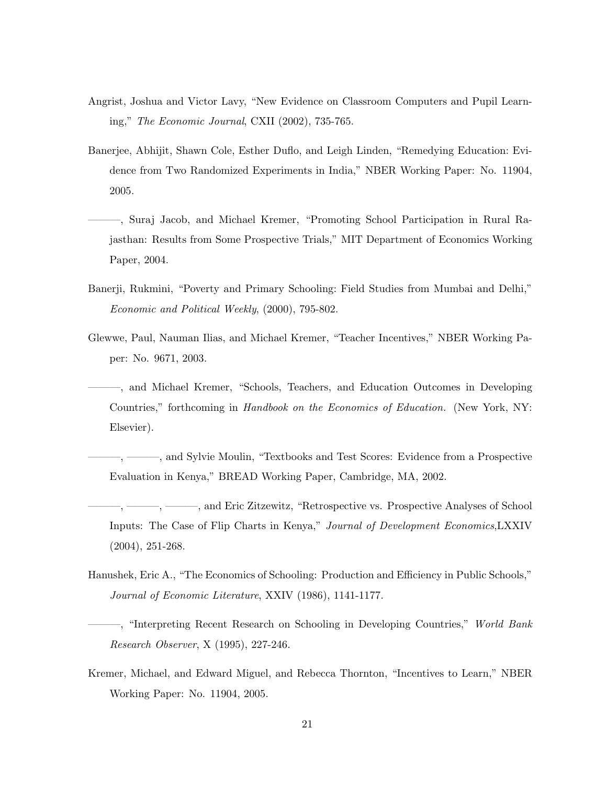- Angrist, Joshua and Victor Lavy, "New Evidence on Classroom Computers and Pupil Learning," The Economic Journal, CXII (2002), 735-765.
- Banerjee, Abhijit, Shawn Cole, Esther Duflo, and Leigh Linden, "Remedying Education: Evidence from Two Randomized Experiments in India," NBER Working Paper: No. 11904, 2005.
- ———, Suraj Jacob, and Michael Kremer, "Promoting School Participation in Rural Rajasthan: Results from Some Prospective Trials," MIT Department of Economics Working Paper, 2004.
- Banerji, Rukmini, "Poverty and Primary Schooling: Field Studies from Mumbai and Delhi," Economic and Political Weekly, (2000), 795-802.
- Glewwe, Paul, Nauman Ilias, and Michael Kremer, "Teacher Incentives," NBER Working Paper: No. 9671, 2003.
- ———, and Michael Kremer, "Schools, Teachers, and Education Outcomes in Developing Countries," forthcoming in Handbook on the Economics of Education. (New York, NY: Elsevier).
- ———, ———, and Sylvie Moulin, "Textbooks and Test Scores: Evidence from a Prospective Evaluation in Kenya," BREAD Working Paper, Cambridge, MA, 2002.
- ———, ———, ———, and Eric Zitzewitz, "Retrospective vs. Prospective Analyses of School Inputs: The Case of Flip Charts in Kenya," Journal of Development Economics,LXXIV (2004), 251-268.
- Hanushek, Eric A., "The Economics of Schooling: Production and Efficiency in Public Schools," Journal of Economic Literature, XXIV (1986), 1141-1177.
- ———, "Interpreting Recent Research on Schooling in Developing Countries," World Bank Research Observer, X (1995), 227-246.
- Kremer, Michael, and Edward Miguel, and Rebecca Thornton, "Incentives to Learn," NBER Working Paper: No. 11904, 2005.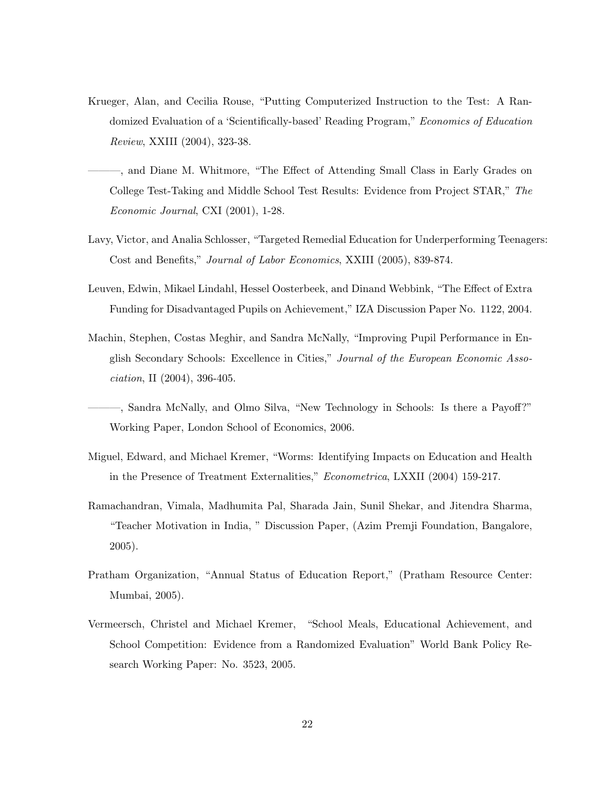- Krueger, Alan, and Cecilia Rouse, "Putting Computerized Instruction to the Test: A Randomized Evaluation of a 'Scientifically-based' Reading Program," Economics of Education Review, XXIII (2004), 323-38.
- ———, and Diane M. Whitmore, "The Effect of Attending Small Class in Early Grades on College Test-Taking and Middle School Test Results: Evidence from Project STAR," The Economic Journal, CXI (2001), 1-28.
- Lavy, Victor, and Analia Schlosser, "Targeted Remedial Education for Underperforming Teenagers: Cost and Benefits," Journal of Labor Economics, XXIII (2005), 839-874.
- Leuven, Edwin, Mikael Lindahl, Hessel Oosterbeek, and Dinand Webbink, "The Effect of Extra Funding for Disadvantaged Pupils on Achievement," IZA Discussion Paper No. 1122, 2004.
- Machin, Stephen, Costas Meghir, and Sandra McNally, "Improving Pupil Performance in English Secondary Schools: Excellence in Cities," Journal of the European Economic Association, II (2004), 396-405.

- Miguel, Edward, and Michael Kremer, "Worms: Identifying Impacts on Education and Health in the Presence of Treatment Externalities," Econometrica, LXXII (2004) 159-217.
- Ramachandran, Vimala, Madhumita Pal, Sharada Jain, Sunil Shekar, and Jitendra Sharma, "Teacher Motivation in India, " Discussion Paper, (Azim Premji Foundation, Bangalore, 2005).
- Pratham Organization, "Annual Status of Education Report," (Pratham Resource Center: Mumbai, 2005).
- Vermeersch, Christel and Michael Kremer, "School Meals, Educational Achievement, and School Competition: Evidence from a Randomized Evaluation" World Bank Policy Research Working Paper: No. 3523, 2005.

<sup>———,</sup> Sandra McNally, and Olmo Silva, "New Technology in Schools: Is there a Payoff?" Working Paper, London School of Economics, 2006.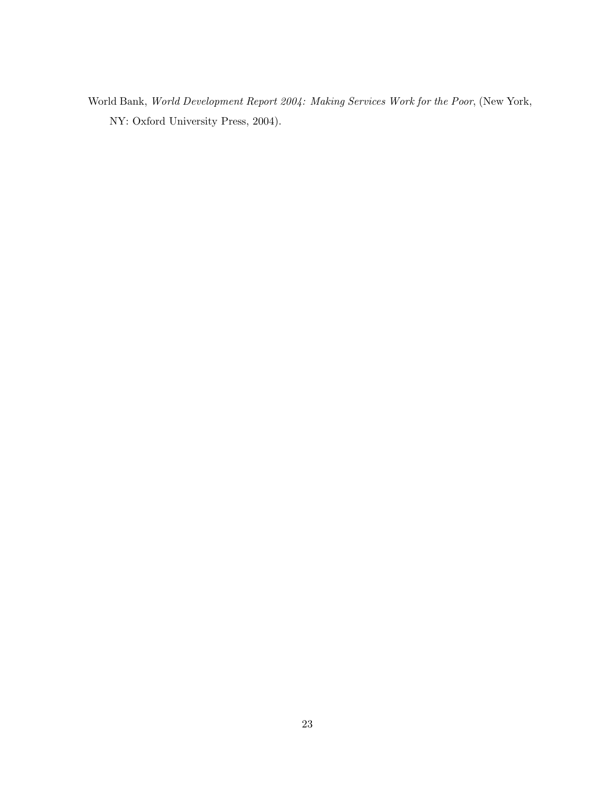World Bank, World Development Report 2004: Making Services Work for the Poor, (New York, NY: Oxford University Press, 2004).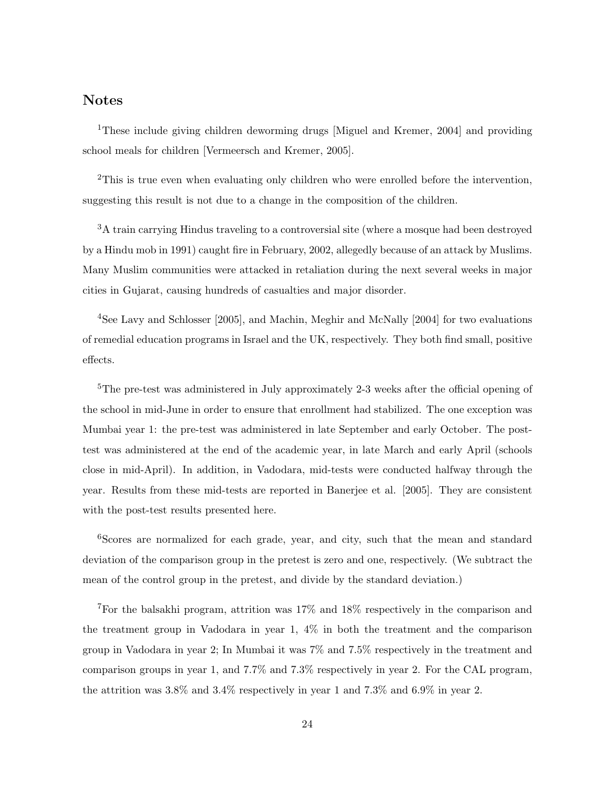## Notes

<sup>1</sup>These include giving children deworming drugs [Miguel and Kremer, 2004] and providing school meals for children [Vermeersch and Kremer, 2005].

<sup>2</sup>This is true even when evaluating only children who were enrolled before the intervention, suggesting this result is not due to a change in the composition of the children.

<sup>3</sup>A train carrying Hindus traveling to a controversial site (where a mosque had been destroyed by a Hindu mob in 1991) caught fire in February, 2002, allegedly because of an attack by Muslims. Many Muslim communities were attacked in retaliation during the next several weeks in major cities in Gujarat, causing hundreds of casualties and major disorder.

<sup>4</sup>See Lavy and Schlosser [2005], and Machin, Meghir and McNally [2004] for two evaluations of remedial education programs in Israel and the UK, respectively. They both find small, positive effects.

<sup>5</sup>The pre-test was administered in July approximately 2-3 weeks after the official opening of the school in mid-June in order to ensure that enrollment had stabilized. The one exception was Mumbai year 1: the pre-test was administered in late September and early October. The posttest was administered at the end of the academic year, in late March and early April (schools close in mid-April). In addition, in Vadodara, mid-tests were conducted halfway through the year. Results from these mid-tests are reported in Banerjee et al. [2005]. They are consistent with the post-test results presented here.

<sup>6</sup>Scores are normalized for each grade, year, and city, such that the mean and standard deviation of the comparison group in the pretest is zero and one, respectively. (We subtract the mean of the control group in the pretest, and divide by the standard deviation.)

<sup>7</sup>For the balsakhi program, attrition was 17% and 18% respectively in the comparison and the treatment group in Vadodara in year 1, 4% in both the treatment and the comparison group in Vadodara in year 2; In Mumbai it was 7% and 7.5% respectively in the treatment and comparison groups in year 1, and 7.7% and 7.3% respectively in year 2. For the CAL program, the attrition was 3.8% and 3.4% respectively in year 1 and 7.3% and 6.9% in year 2.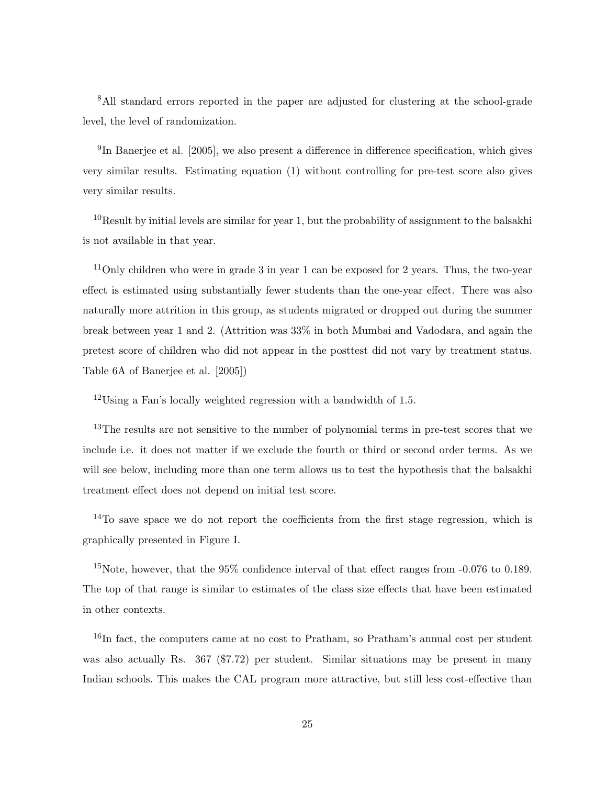<sup>8</sup>All standard errors reported in the paper are adjusted for clustering at the school-grade level, the level of randomization.

<sup>9</sup>In Banerjee et al. [2005], we also present a difference in difference specification, which gives very similar results. Estimating equation (1) without controlling for pre-test score also gives very similar results.

 $10$ Result by initial levels are similar for year 1, but the probability of assignment to the balsakhi is not available in that year.

<sup>11</sup>Only children who were in grade 3 in year 1 can be exposed for 2 years. Thus, the two-year effect is estimated using substantially fewer students than the one-year effect. There was also naturally more attrition in this group, as students migrated or dropped out during the summer break between year 1 and 2. (Attrition was 33% in both Mumbai and Vadodara, and again the pretest score of children who did not appear in the posttest did not vary by treatment status. Table 6A of Banerjee et al. [2005])

 $12$ Using a Fan's locally weighted regression with a bandwidth of 1.5.

<sup>13</sup>The results are not sensitive to the number of polynomial terms in pre-test scores that we include i.e. it does not matter if we exclude the fourth or third or second order terms. As we will see below, including more than one term allows us to test the hypothesis that the balsakhi treatment effect does not depend on initial test score.

 $14$ To save space we do not report the coefficients from the first stage regression, which is graphically presented in Figure I.

<sup>15</sup>Note, however, that the  $95\%$  confidence interval of that effect ranges from  $-0.076$  to 0.189. The top of that range is similar to estimates of the class size effects that have been estimated in other contexts.

<sup>16</sup>In fact, the computers came at no cost to Pratham, so Pratham's annual cost per student was also actually Rs. 367 (\$7.72) per student. Similar situations may be present in many Indian schools. This makes the CAL program more attractive, but still less cost-effective than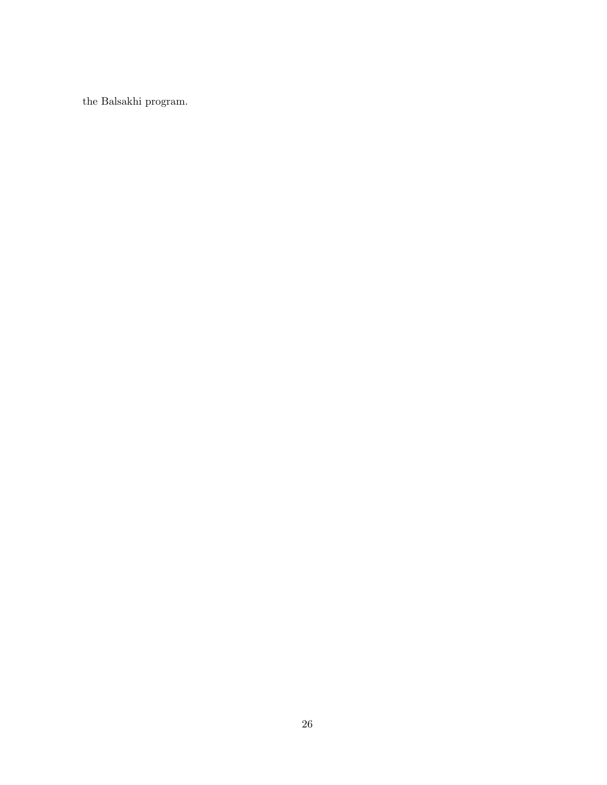the Balsakhi program.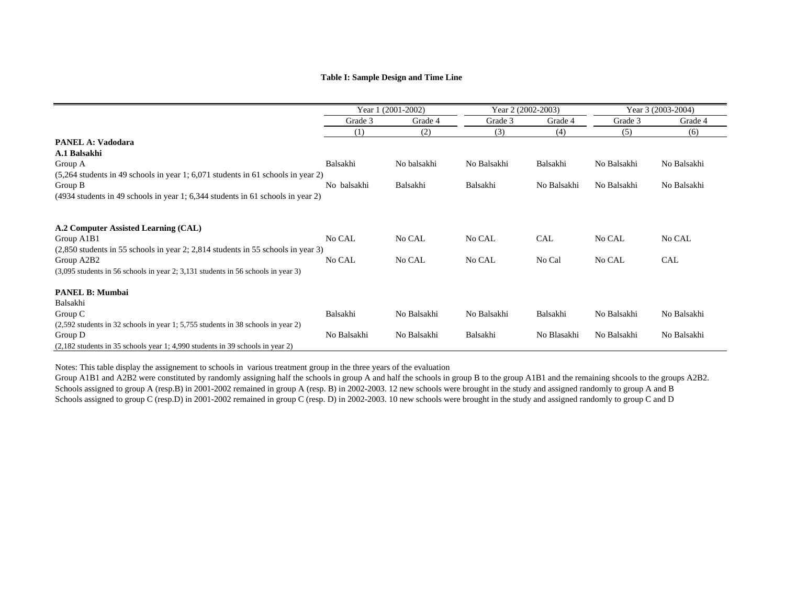#### **Table I: Sample Design and Time Line**

|                                                                                    | Year 1 (2001-2002) |             | Year 2 (2002-2003) |             | Year 3 (2003-2004) |             |
|------------------------------------------------------------------------------------|--------------------|-------------|--------------------|-------------|--------------------|-------------|
|                                                                                    | Grade 3            | Grade 4     | Grade 3            | Grade 4     | Grade 3            | Grade 4     |
|                                                                                    | (1)                | (2)         | (3)                | (4)         | (5)                | (6)         |
| <b>PANEL A: Vadodara</b>                                                           |                    |             |                    |             |                    |             |
| A.1 Balsakhi                                                                       |                    |             |                    |             |                    |             |
| Group A                                                                            | Balsakhi           | No balsakhi | No Balsakhi        | Balsakhi    | No Balsakhi        | No Balsakhi |
| $(5,264$ students in 49 schools in year 1; 6,071 students in 61 schools in year 2) |                    |             |                    |             |                    |             |
| Group B                                                                            | No balsakhi        | Balsakhi    | Balsakhi           | No Balsakhi | No Balsakhi        | No Balsakhi |
| $(4934$ students in 49 schools in year 1; 6,344 students in 61 schools in year 2)  |                    |             |                    |             |                    |             |
|                                                                                    |                    |             |                    |             |                    |             |
| A.2 Computer Assisted Learning (CAL)                                               |                    |             |                    |             |                    |             |
| Group A1B1                                                                         | No CAL             | No CAL      | No CAL             | <b>CAL</b>  | No CAL             | No CAL      |
| $(2,850$ students in 55 schools in year 2; 2,814 students in 55 schools in year 3) |                    |             |                    |             |                    |             |
| Group A2B2                                                                         | No CAL             | No CAL      | No CAL             | No Cal      | No CAL             | <b>CAL</b>  |
| (3,095 students in 56 schools in year 2; 3,131 students in 56 schools in year 3)   |                    |             |                    |             |                    |             |
| <b>PANEL B: Mumbai</b>                                                             |                    |             |                    |             |                    |             |
| Balsakhi                                                                           |                    |             |                    |             |                    |             |
| Group C                                                                            | Balsakhi           | No Balsakhi | No Balsakhi        | Balsakhi    | No Balsakhi        | No Balsakhi |
| $(2,592$ students in 32 schools in year 1; 5,755 students in 38 schools in year 2) |                    |             |                    |             |                    |             |
| Group D                                                                            | No Balsakhi        | No Balsakhi | Balsakhi           | No Blasakhi | No Balsakhi        | No Balsakhi |
| $(2,182$ students in 35 schools year 1; 4,990 students in 39 schools in year 2)    |                    |             |                    |             |                    |             |

Notes: This table display the assignement to schools in various treatment group in the three years of the evaluation

Group A1B1 and A2B2 were constituted by randomly assigning half the schools in group A and half the schools in group B to the group A1B1 and the remaining shcools to the groups A2B2. Schools assigned to group A (resp.B) in 2001-2002 remained in group A (resp. B) in 2002-2003. 12 new schools were brought in the study and assigned randomly to group A and B Schools assigned to group C (resp.D) in 2001-2002 remained in group C (resp. D) in 2002-2003. 10 new schools were brought in the study and assigned randomly to group C and D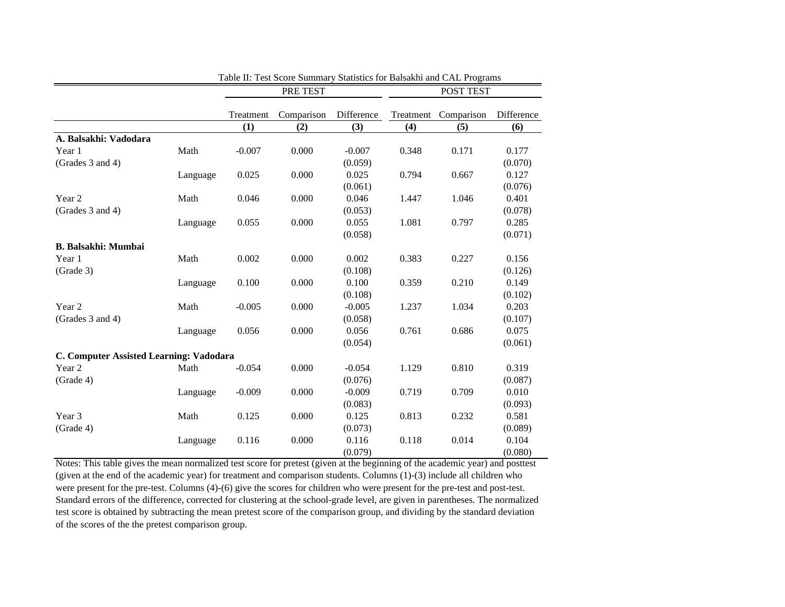|                                         |          | PRE TEST  |            |            | POST TEST |            |            |
|-----------------------------------------|----------|-----------|------------|------------|-----------|------------|------------|
|                                         |          | Treatment | Comparison | Difference | Treatment | Comparison | Difference |
|                                         |          | (1)       | (2)        | (3)        | (4)       | (5)        | (6)        |
| A. Balsakhi: Vadodara                   |          |           |            |            |           |            |            |
| Year 1                                  | Math     | $-0.007$  | 0.000      | $-0.007$   | 0.348     | 0.171      | 0.177      |
| (Grades 3 and 4)                        |          |           |            | (0.059)    |           |            | (0.070)    |
|                                         | Language | 0.025     | 0.000      | 0.025      | 0.794     | 0.667      | 0.127      |
|                                         |          |           |            | (0.061)    |           |            | (0.076)    |
| Year 2                                  | Math     | 0.046     | 0.000      | 0.046      | 1.447     | 1.046      | 0.401      |
| (Grades 3 and 4)                        |          |           |            | (0.053)    |           |            | (0.078)    |
|                                         | Language | 0.055     | 0.000      | 0.055      | 1.081     | 0.797      | 0.285      |
|                                         |          |           |            | (0.058)    |           |            | (0.071)    |
| <b>B. Balsakhi: Mumbai</b>              |          |           |            |            |           |            |            |
| Year 1                                  | Math     | 0.002     | 0.000      | 0.002      | 0.383     | 0.227      | 0.156      |
| (Grade 3)                               |          |           |            | (0.108)    |           |            | (0.126)    |
|                                         | Language | 0.100     | 0.000      | 0.100      | 0.359     | 0.210      | 0.149      |
|                                         |          |           |            | (0.108)    |           |            | (0.102)    |
| Year 2                                  | Math     | $-0.005$  | 0.000      | $-0.005$   | 1.237     | 1.034      | 0.203      |
| (Grades 3 and 4)                        |          |           |            | (0.058)    |           |            | (0.107)    |
|                                         | Language | 0.056     | 0.000      | 0.056      | 0.761     | 0.686      | 0.075      |
|                                         |          |           |            | (0.054)    |           |            | (0.061)    |
| C. Computer Assisted Learning: Vadodara |          |           |            |            |           |            |            |
| Year 2                                  | Math     | $-0.054$  | 0.000      | $-0.054$   | 1.129     | 0.810      | 0.319      |
| (Grade 4)                               |          |           |            | (0.076)    |           |            | (0.087)    |
|                                         | Language | $-0.009$  | 0.000      | $-0.009$   | 0.719     | 0.709      | 0.010      |
|                                         |          |           |            | (0.083)    |           |            | (0.093)    |
| Year 3                                  | Math     | 0.125     | 0.000      | 0.125      | 0.813     | 0.232      | 0.581      |
| (Grade 4)                               |          |           |            | (0.073)    |           |            | (0.089)    |
|                                         | Language | 0.116     | 0.000      | 0.116      | 0.118     | 0.014      | 0.104      |
|                                         |          |           |            | (0.079)    |           |            | (0.080)    |

Table II: Test Score Summary Statistics for Balsakhi and CAL Programs

Notes: This table gives the mean normalized test score for pretest (given at the beginning of the academic year) and posttest (given at the end of the academic year) for treatment and comparison students. Columns (1)-(3) include all children who were present for the pre-test. Columns (4)-(6) give the scores for children who were present for the pre-test and post-test. Standard errors of the difference, corrected for clustering at the school-grade level, are given in parentheses. The normalized test score is obtained by subtracting the mean pretest score of the comparison group, and dividing by the standard deviation of the scores of the the pretest comparison group.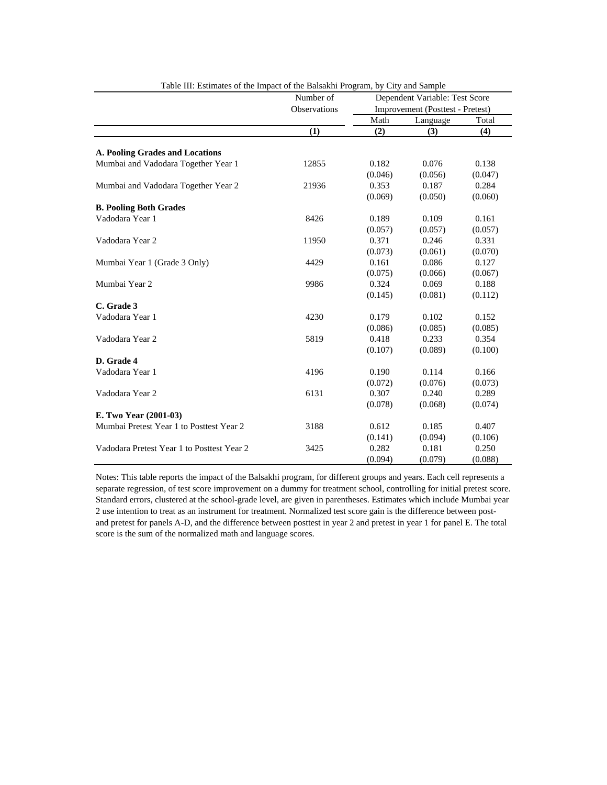| Table III: Estimates of the Impact of the Balsakhi Program, by City and Sample |              |         |                                  |         |
|--------------------------------------------------------------------------------|--------------|---------|----------------------------------|---------|
|                                                                                | Number of    |         | Dependent Variable: Test Score   |         |
|                                                                                | Observations |         | Improvement (Posttest - Pretest) |         |
|                                                                                |              | Math    | Language                         | Total   |
|                                                                                | (1)          | (2)     | (3)                              | (4)     |
| A. Pooling Grades and Locations                                                |              |         |                                  |         |
| Mumbai and Vadodara Together Year 1                                            | 12855        | 0.182   | 0.076                            | 0.138   |
|                                                                                |              | (0.046) | (0.056)                          | (0.047) |
| Mumbai and Vadodara Together Year 2                                            | 21936        | 0.353   | 0.187                            | 0.284   |
|                                                                                |              | (0.069) | (0.050)                          | (0.060) |
| <b>B. Pooling Both Grades</b>                                                  |              |         |                                  |         |
| Vadodara Year 1                                                                | 8426         | 0.189   | 0.109                            | 0.161   |
|                                                                                |              | (0.057) | (0.057)                          | (0.057) |
| Vadodara Year 2                                                                | 11950        | 0.371   | 0.246                            | 0.331   |
|                                                                                |              | (0.073) | (0.061)                          | (0.070) |
| Mumbai Year 1 (Grade 3 Only)                                                   | 4429         | 0.161   | 0.086                            | 0.127   |
|                                                                                |              | (0.075) | (0.066)                          | (0.067) |
| Mumbai Year 2                                                                  | 9986         | 0.324   | 0.069                            | 0.188   |
|                                                                                |              | (0.145) | (0.081)                          | (0.112) |
| C. Grade 3                                                                     |              |         |                                  |         |
| Vadodara Year 1                                                                | 4230         | 0.179   | 0.102                            | 0.152   |
|                                                                                |              | (0.086) | (0.085)                          | (0.085) |
| Vadodara Year 2                                                                | 5819         | 0.418   | 0.233                            | 0.354   |
|                                                                                |              | (0.107) | (0.089)                          | (0.100) |
| D. Grade 4                                                                     |              |         |                                  |         |
| Vadodara Year 1                                                                | 4196         | 0.190   | 0.114                            | 0.166   |
|                                                                                |              | (0.072) | (0.076)                          | (0.073) |
| Vadodara Year 2                                                                | 6131         | 0.307   | 0.240                            | 0.289   |
|                                                                                |              | (0.078) | (0.068)                          | (0.074) |
| E. Two Year (2001-03)                                                          |              |         |                                  |         |
| Mumbai Pretest Year 1 to Posttest Year 2                                       | 3188         | 0.612   | 0.185                            | 0.407   |
|                                                                                |              | (0.141) | (0.094)                          | (0.106) |
| Vadodara Pretest Year 1 to Posttest Year 2                                     | 3425         | 0.282   | 0.181                            | 0.250   |
|                                                                                |              | (0.094) | (0.079)                          | (0.088) |

Notes: This table reports the impact of the Balsakhi program, for different groups and years. Each cell represents a separate regression, of test score improvement on a dummy for treatment school, controlling for initial pretest score. Standard errors, clustered at the school-grade level, are given in parentheses. Estimates which include Mumbai year 2 use intention to treat as an instrument for treatment. Normalized test score gain is the difference between postand pretest for panels A-D, and the difference between posttest in year 2 and pretest in year 1 for panel E. The total score is the sum of the normalized math and language scores.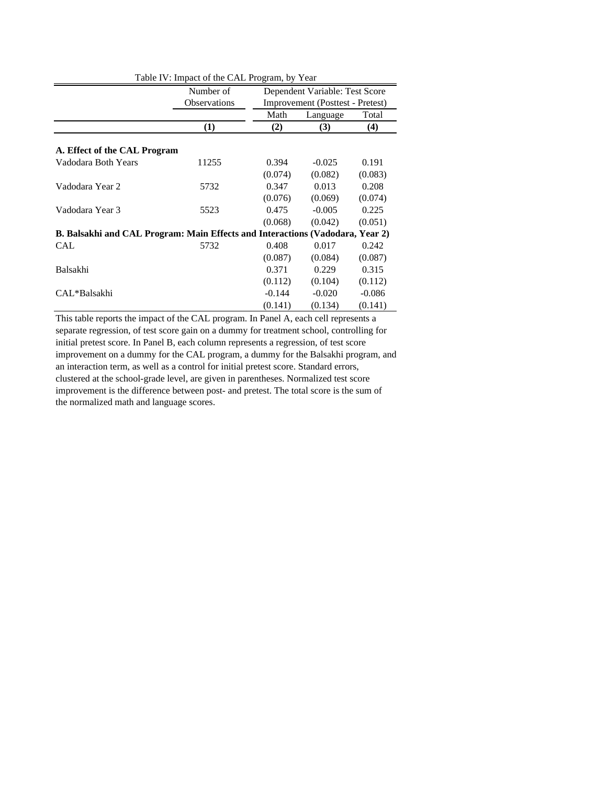|                                                                               | Table IV: Impact of the CAL Program, by Year |          |                                  |          |
|-------------------------------------------------------------------------------|----------------------------------------------|----------|----------------------------------|----------|
|                                                                               | Number of                                    |          | Dependent Variable: Test Score   |          |
|                                                                               | Observations                                 |          | Improvement (Posttest - Pretest) |          |
|                                                                               |                                              | Math     | Language                         | Total    |
|                                                                               | (1)                                          | (2)      | (3)                              | (4)      |
| A. Effect of the CAL Program                                                  |                                              |          |                                  |          |
| Vadodara Both Years                                                           | 11255                                        | 0.394    | $-0.025$                         | 0.191    |
|                                                                               |                                              | (0.074)  | (0.082)                          | (0.083)  |
| Vadodara Year 2                                                               | 5732                                         | 0.347    | 0.013                            | 0.208    |
|                                                                               |                                              | (0.076)  | (0.069)                          | (0.074)  |
| Vadodara Year 3                                                               | 5523                                         | 0.475    | $-0.005$                         | 0.225    |
|                                                                               |                                              | (0.068)  | (0.042)                          | (0.051)  |
| B. Balsakhi and CAL Program: Main Effects and Interactions (Vadodara, Year 2) |                                              |          |                                  |          |
| CAL                                                                           | 5732                                         | 0.408    | 0.017                            | 0.242    |
|                                                                               |                                              | (0.087)  | (0.084)                          | (0.087)  |
| Balsakhi                                                                      |                                              | 0.371    | 0.229                            | 0.315    |
|                                                                               |                                              | (0.112)  | (0.104)                          | (0.112)  |
| CAL*Balsakhi                                                                  |                                              | $-0.144$ | $-0.020$                         | $-0.086$ |
|                                                                               |                                              | (0.141)  | (0.134)                          | (0.141)  |

This table reports the impact of the CAL program. In Panel A, each cell represents a separate regression, of test score gain on a dummy for treatment school, controlling for initial pretest score. In Panel B, each column represents a regression, of test score improvement on a dummy for the CAL program, a dummy for the Balsakhi program, and an interaction term, as well as a control for initial pretest score. Standard errors, clustered at the school-grade level, are given in parentheses. Normalized test score improvement is the difference between post- and pretest. The total score is the sum of the normalized math and language scores.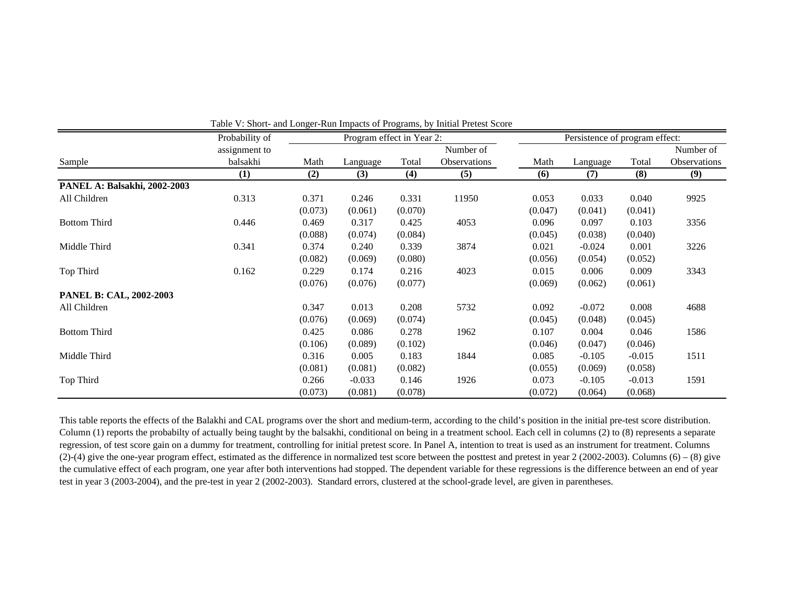|                              | Probability of | Program effect in Year 2: |          |         |              | Persistence of program effect: |          |          |              |
|------------------------------|----------------|---------------------------|----------|---------|--------------|--------------------------------|----------|----------|--------------|
|                              | assignment to  |                           |          |         | Number of    |                                |          |          | Number of    |
| Sample                       | balsakhi       | Math                      | Language | Total   | Observations | Math                           | Language | Total    | Observations |
|                              | (1)            | (2)                       | (3)      | (4)     | (5)          | (6)                            | (7)      | (8)      | (9)          |
| PANEL A: Balsakhi, 2002-2003 |                |                           |          |         |              |                                |          |          |              |
| All Children                 | 0.313          | 0.371                     | 0.246    | 0.331   | 11950        | 0.053                          | 0.033    | 0.040    | 9925         |
|                              |                | (0.073)                   | (0.061)  | (0.070) |              | (0.047)                        | (0.041)  | (0.041)  |              |
| <b>Bottom Third</b>          | 0.446          | 0.469                     | 0.317    | 0.425   | 4053         | 0.096                          | 0.097    | 0.103    | 3356         |
|                              |                | (0.088)                   | (0.074)  | (0.084) |              | (0.045)                        | (0.038)  | (0.040)  |              |
| Middle Third                 | 0.341          | 0.374                     | 0.240    | 0.339   | 3874         | 0.021                          | $-0.024$ | 0.001    | 3226         |
|                              |                | (0.082)                   | (0.069)  | (0.080) |              | (0.056)                        | (0.054)  | (0.052)  |              |
| Top Third                    | 0.162          | 0.229                     | 0.174    | 0.216   | 4023         | 0.015                          | 0.006    | 0.009    | 3343         |
|                              |                | (0.076)                   | (0.076)  | (0.077) |              | (0.069)                        | (0.062)  | (0.061)  |              |
| PANEL B: CAL, 2002-2003      |                |                           |          |         |              |                                |          |          |              |
| All Children                 |                | 0.347                     | 0.013    | 0.208   | 5732         | 0.092                          | $-0.072$ | 0.008    | 4688         |
|                              |                | (0.076)                   | (0.069)  | (0.074) |              | (0.045)                        | (0.048)  | (0.045)  |              |
| <b>Bottom Third</b>          |                | 0.425                     | 0.086    | 0.278   | 1962         | 0.107                          | 0.004    | 0.046    | 1586         |
|                              |                | (0.106)                   | (0.089)  | (0.102) |              | (0.046)                        | (0.047)  | (0.046)  |              |
| Middle Third                 |                | 0.316                     | 0.005    | 0.183   | 1844         | 0.085                          | $-0.105$ | $-0.015$ | 1511         |
|                              |                | (0.081)                   | (0.081)  | (0.082) |              | (0.055)                        | (0.069)  | (0.058)  |              |
| Top Third                    |                | 0.266                     | $-0.033$ | 0.146   | 1926         | 0.073                          | $-0.105$ | $-0.013$ | 1591         |
|                              |                | (0.073)                   | (0.081)  | (0.078) |              | (0.072)                        | (0.064)  | (0.068)  |              |

Table V: Short- and Longer-Run Impacts of Programs, by Initial Pretest Score

This table reports the effects of the Balakhi and CAL programs over the short and medium-term, according to the child's position in the initial pre-test score distribution. Column (1) reports the probabilty of actually being taught by the balsakhi, conditional on being in a treatment school. Each cell in columns (2) to (8) represents a separate regression, of test score gain on a dummy for treatment, controlling for initial pretest score. In Panel A, intention to treat is used as an instrument for treatment. Columns  $(2)-(4)$  give the one-year program effect, estimated as the difference in normalized test score between the posttest and pretest in year 2 (2002-2003). Columns  $(6) - (8)$  give the cumulative effect of each program, one year after both interventions had stopped. The dependent variable for these regressions is the difference between an end of year test in year 3 (2003-2004), and the pre-test in year 2 (2002-2003). Standard errors, clustered at the school-grade level, are given in parentheses.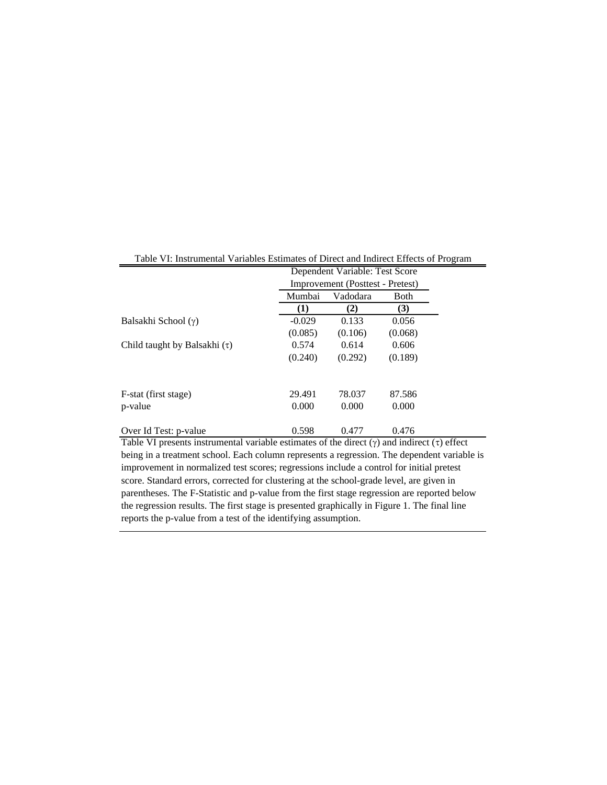|                                   |                     | Dependent Variable: Test Score                                      |                   |                      |  |  |
|-----------------------------------|---------------------|---------------------------------------------------------------------|-------------------|----------------------|--|--|
|                                   |                     | Improvement (Posttest - Pretest)                                    |                   |                      |  |  |
|                                   | Mumbai              | Vadodara                                                            | Both              |                      |  |  |
|                                   | (1)                 | (2)                                                                 | (3)               |                      |  |  |
| Balsakhi School (γ)               | $-0.029$            | 0.133                                                               | 0.056             |                      |  |  |
|                                   | (0.085)             | (0.106)                                                             | (0.068)           |                      |  |  |
| Child taught by Balsakhi $(\tau)$ | 0.574               | 0.614                                                               | 0.606             |                      |  |  |
|                                   | (0.240)             | (0.292)                                                             | (0.189)           |                      |  |  |
| F-stat (first stage)              | 29.491              | 78.037                                                              | 87.586            |                      |  |  |
| p-value                           | 0.000               | 0.000                                                               | 0.000             |                      |  |  |
| Over Id Test: p-value<br>$\cdots$ | 0.598<br>$\cdot$ 11 | 0.477<br>$\mathcal{C}$ $\mathcal{A}$<br>$\mathbf{1!}$ $\mathbf{1!}$ | 0.476<br>$\cdots$ | $\cdots$ or $\cdots$ |  |  |

Table VI: Instrumental Variables Estimates of Direct and Indirect Effects of Program

Table VI presents instrumental variable estimates of the direct  $(\gamma)$  and indirect  $(\tau)$  effect being in a treatment school. Each column represents a regression. The dependent variable is improvement in normalized test scores; regressions include a control for initial pretest score. Standard errors, corrected for clustering at the school-grade level, are given in parentheses. The F-Statistic and p-value from the first stage regression are reported below the regression results. The first stage is presented graphically in Figure 1. The final line reports the p-value from a test of the identifying assumption.